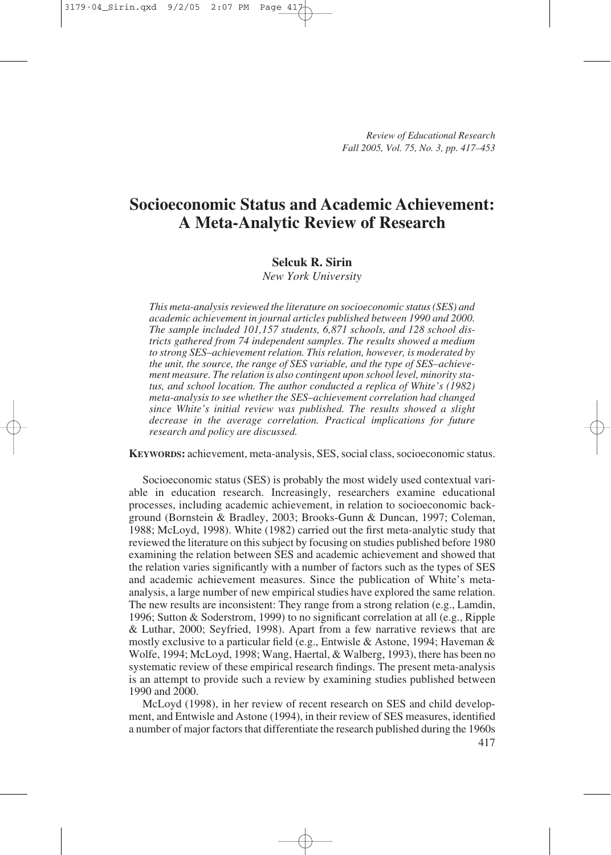# **Socioeconomic Status and Academic Achievement: A Meta-Analytic Review of Research**

# **Selcuk R. Sirin**

*New York University*

*This meta-analysis reviewed the literature on socioeconomic status (SES) and academic achievement in journal articles published between 1990 and 2000. The sample included 101,157 students, 6,871 schools, and 128 school districts gathered from 74 independent samples. The results showed a medium to strong SES–achievement relation. This relation, however, is moderated by the unit, the source, the range of SES variable, and the type of SES–achievement measure. The relation is also contingent upon school level, minority status, and school location. The author conducted a replica of White's (1982) meta-analysis to see whether the SES–achievement correlation had changed since White's initial review was published. The results showed a slight decrease in the average correlation. Practical implications for future research and policy are discussed.* 

**KEYWORDS:** achievement, meta-analysis, SES, social class, socioeconomic status.

Socioeconomic status (SES) is probably the most widely used contextual variable in education research. Increasingly, researchers examine educational processes, including academic achievement, in relation to socioeconomic background (Bornstein & Bradley, 2003; Brooks-Gunn & Duncan, 1997; Coleman, 1988; McLoyd, 1998). White (1982) carried out the first meta-analytic study that reviewed the literature on this subject by focusing on studies published before 1980 examining the relation between SES and academic achievement and showed that the relation varies significantly with a number of factors such as the types of SES and academic achievement measures. Since the publication of White's metaanalysis, a large number of new empirical studies have explored the same relation. The new results are inconsistent: They range from a strong relation (e.g., Lamdin, 1996; Sutton & Soderstrom, 1999) to no significant correlation at all (e.g., Ripple & Luthar, 2000; Seyfried, 1998). Apart from a few narrative reviews that are mostly exclusive to a particular field (e.g., Entwisle & Astone, 1994; Haveman & Wolfe, 1994; McLoyd, 1998; Wang, Haertal, & Walberg, 1993), there has been no systematic review of these empirical research findings. The present meta-analysis is an attempt to provide such a review by examining studies published between 1990 and 2000.

McLoyd (1998), in her review of recent research on SES and child development, and Entwisle and Astone (1994), in their review of SES measures, identified a number of major factors that differentiate the research published during the 1960s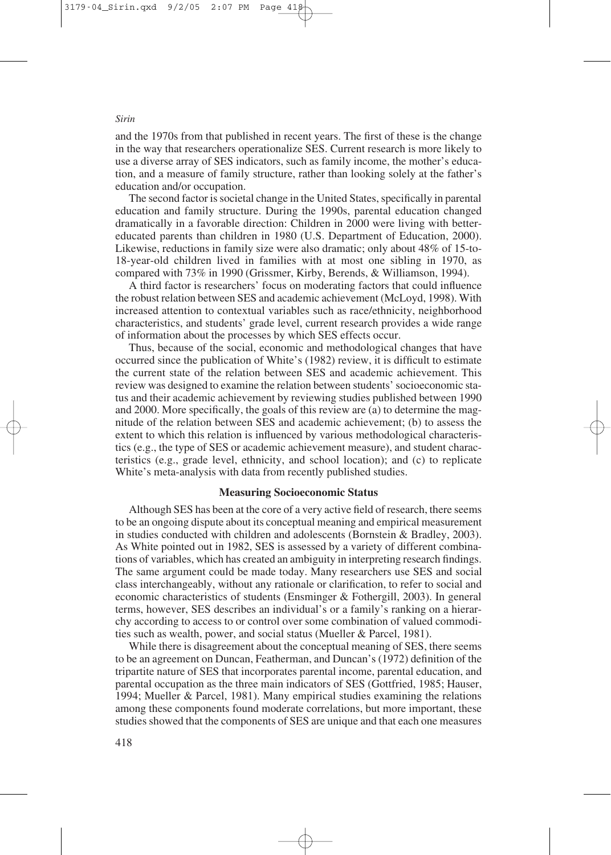and the 1970s from that published in recent years. The first of these is the change in the way that researchers operationalize SES. Current research is more likely to use a diverse array of SES indicators, such as family income, the mother's education, and a measure of family structure, rather than looking solely at the father's education and/or occupation.

The second factor is societal change in the United States, specifically in parental education and family structure. During the 1990s, parental education changed dramatically in a favorable direction: Children in 2000 were living with bettereducated parents than children in 1980 (U.S. Department of Education, 2000). Likewise, reductions in family size were also dramatic; only about 48% of 15-to-18-year-old children lived in families with at most one sibling in 1970, as compared with 73% in 1990 (Grissmer, Kirby, Berends, & Williamson, 1994).

A third factor is researchers' focus on moderating factors that could influence the robust relation between SES and academic achievement (McLoyd, 1998). With increased attention to contextual variables such as race/ethnicity, neighborhood characteristics, and students' grade level, current research provides a wide range of information about the processes by which SES effects occur.

Thus, because of the social, economic and methodological changes that have occurred since the publication of White's (1982) review, it is difficult to estimate the current state of the relation between SES and academic achievement. This review was designed to examine the relation between students' socioeconomic status and their academic achievement by reviewing studies published between 1990 and 2000. More specifically, the goals of this review are (a) to determine the magnitude of the relation between SES and academic achievement; (b) to assess the extent to which this relation is influenced by various methodological characteristics (e.g., the type of SES or academic achievement measure), and student characteristics (e.g., grade level, ethnicity, and school location); and (c) to replicate White's meta-analysis with data from recently published studies.

# **Measuring Socioeconomic Status**

Although SES has been at the core of a very active field of research, there seems to be an ongoing dispute about its conceptual meaning and empirical measurement in studies conducted with children and adolescents (Bornstein & Bradley, 2003). As White pointed out in 1982, SES is assessed by a variety of different combinations of variables, which has created an ambiguity in interpreting research findings. The same argument could be made today. Many researchers use SES and social class interchangeably, without any rationale or clarification, to refer to social and economic characteristics of students (Ensminger & Fothergill, 2003). In general terms, however, SES describes an individual's or a family's ranking on a hierarchy according to access to or control over some combination of valued commodities such as wealth, power, and social status (Mueller & Parcel, 1981).

While there is disagreement about the conceptual meaning of SES, there seems to be an agreement on Duncan, Featherman, and Duncan's (1972) definition of the tripartite nature of SES that incorporates parental income, parental education, and parental occupation as the three main indicators of SES (Gottfried, 1985; Hauser, 1994; Mueller & Parcel, 1981). Many empirical studies examining the relations among these components found moderate correlations, but more important, these studies showed that the components of SES are unique and that each one measures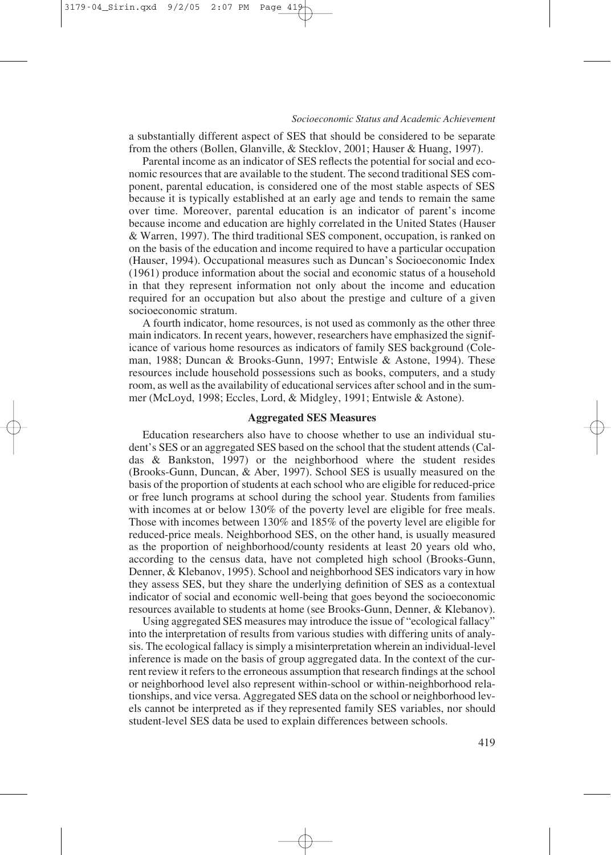a substantially different aspect of SES that should be considered to be separate from the others (Bollen, Glanville, & Stecklov, 2001; Hauser & Huang, 1997).

Parental income as an indicator of SES reflects the potential for social and economic resources that are available to the student. The second traditional SES component, parental education, is considered one of the most stable aspects of SES because it is typically established at an early age and tends to remain the same over time. Moreover, parental education is an indicator of parent's income because income and education are highly correlated in the United States (Hauser & Warren, 1997). The third traditional SES component, occupation, is ranked on on the basis of the education and income required to have a particular occupation (Hauser, 1994). Occupational measures such as Duncan's Socioeconomic Index (1961) produce information about the social and economic status of a household in that they represent information not only about the income and education required for an occupation but also about the prestige and culture of a given socioeconomic stratum.

A fourth indicator, home resources, is not used as commonly as the other three main indicators. In recent years, however, researchers have emphasized the significance of various home resources as indicators of family SES background (Coleman, 1988; Duncan & Brooks-Gunn, 1997; Entwisle & Astone, 1994). These resources include household possessions such as books, computers, and a study room, as well as the availability of educational services after school and in the summer (McLoyd, 1998; Eccles, Lord, & Midgley, 1991; Entwisle & Astone).

## **Aggregated SES Measures**

Education researchers also have to choose whether to use an individual student's SES or an aggregated SES based on the school that the student attends (Caldas & Bankston, 1997) or the neighborhood where the student resides (Brooks-Gunn, Duncan, & Aber, 1997). School SES is usually measured on the basis of the proportion of students at each school who are eligible for reduced-price or free lunch programs at school during the school year. Students from families with incomes at or below 130% of the poverty level are eligible for free meals. Those with incomes between 130% and 185% of the poverty level are eligible for reduced-price meals. Neighborhood SES, on the other hand, is usually measured as the proportion of neighborhood/county residents at least 20 years old who, according to the census data, have not completed high school (Brooks-Gunn, Denner, & Klebanov, 1995). School and neighborhood SES indicators vary in how they assess SES, but they share the underlying definition of SES as a contextual indicator of social and economic well-being that goes beyond the socioeconomic resources available to students at home (see Brooks-Gunn, Denner, & Klebanov).

Using aggregated SES measures may introduce the issue of "ecological fallacy" into the interpretation of results from various studies with differing units of analysis. The ecological fallacy is simply a misinterpretation wherein an individual-level inference is made on the basis of group aggregated data. In the context of the current review it refers to the erroneous assumption that research findings at the school or neighborhood level also represent within-school or within-neighborhood relationships, and vice versa. Aggregated SES data on the school or neighborhood levels cannot be interpreted as if they represented family SES variables, nor should student-level SES data be used to explain differences between schools.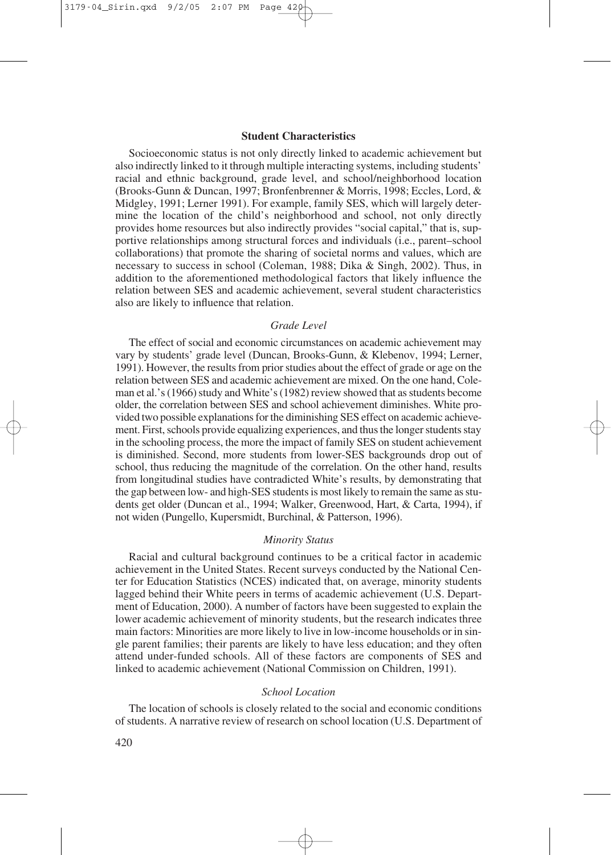## **Student Characteristics**

Socioeconomic status is not only directly linked to academic achievement but also indirectly linked to it through multiple interacting systems, including students' racial and ethnic background, grade level, and school/neighborhood location (Brooks-Gunn & Duncan, 1997; Bronfenbrenner & Morris, 1998; Eccles, Lord, & Midgley, 1991; Lerner 1991). For example, family SES, which will largely determine the location of the child's neighborhood and school, not only directly provides home resources but also indirectly provides "social capital," that is, supportive relationships among structural forces and individuals (i.e., parent–school collaborations) that promote the sharing of societal norms and values, which are necessary to success in school (Coleman, 1988; Dika & Singh, 2002). Thus, in addition to the aforementioned methodological factors that likely influence the relation between SES and academic achievement, several student characteristics also are likely to influence that relation.

#### *Grade Level*

The effect of social and economic circumstances on academic achievement may vary by students' grade level (Duncan, Brooks-Gunn, & Klebenov, 1994; Lerner, 1991). However, the results from prior studies about the effect of grade or age on the relation between SES and academic achievement are mixed. On the one hand, Coleman et al.'s (1966) study and White's (1982) review showed that as students become older, the correlation between SES and school achievement diminishes. White provided two possible explanations for the diminishing SES effect on academic achievement. First, schools provide equalizing experiences, and thus the longer students stay in the schooling process, the more the impact of family SES on student achievement is diminished. Second, more students from lower-SES backgrounds drop out of school, thus reducing the magnitude of the correlation. On the other hand, results from longitudinal studies have contradicted White's results, by demonstrating that the gap between low- and high-SES students is most likely to remain the same as students get older (Duncan et al., 1994; Walker, Greenwood, Hart, & Carta, 1994), if not widen (Pungello, Kupersmidt, Burchinal, & Patterson, 1996).

#### *Minority Status*

Racial and cultural background continues to be a critical factor in academic achievement in the United States. Recent surveys conducted by the National Center for Education Statistics (NCES) indicated that, on average, minority students lagged behind their White peers in terms of academic achievement (U.S. Department of Education, 2000). A number of factors have been suggested to explain the lower academic achievement of minority students, but the research indicates three main factors: Minorities are more likely to live in low-income households or in single parent families; their parents are likely to have less education; and they often attend under-funded schools. All of these factors are components of SES and linked to academic achievement (National Commission on Children, 1991).

#### *School Location*

The location of schools is closely related to the social and economic conditions of students. A narrative review of research on school location (U.S. Department of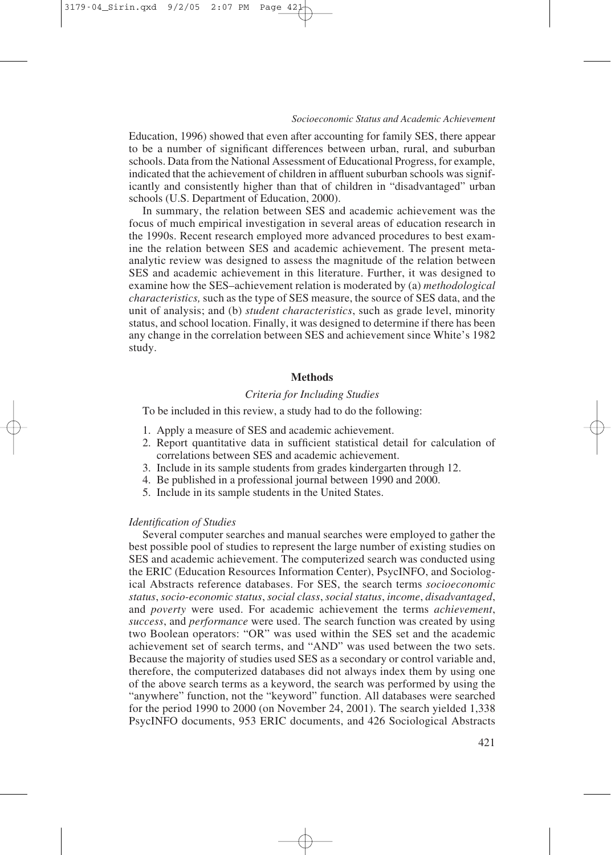Education, 1996) showed that even after accounting for family SES, there appear to be a number of significant differences between urban, rural, and suburban schools. Data from the National Assessment of Educational Progress, for example, indicated that the achievement of children in affluent suburban schools was significantly and consistently higher than that of children in "disadvantaged" urban schools (U.S. Department of Education, 2000).

In summary, the relation between SES and academic achievement was the focus of much empirical investigation in several areas of education research in the 1990s. Recent research employed more advanced procedures to best examine the relation between SES and academic achievement. The present metaanalytic review was designed to assess the magnitude of the relation between SES and academic achievement in this literature. Further, it was designed to examine how the SES–achievement relation is moderated by (a) *methodological characteristics,* such as the type of SES measure, the source of SES data, and the unit of analysis; and (b) *student characteristics*, such as grade level, minority status, and school location. Finally, it was designed to determine if there has been any change in the correlation between SES and achievement since White's 1982 study.

#### **Methods**

# *Criteria for Including Studies*

To be included in this review, a study had to do the following:

- 1. Apply a measure of SES and academic achievement.
- 2. Report quantitative data in sufficient statistical detail for calculation of correlations between SES and academic achievement.
- 3. Include in its sample students from grades kindergarten through 12.
- 4. Be published in a professional journal between 1990 and 2000.
- 5. Include in its sample students in the United States.

#### *Identification of Studies*

Several computer searches and manual searches were employed to gather the best possible pool of studies to represent the large number of existing studies on SES and academic achievement. The computerized search was conducted using the ERIC (Education Resources Information Center), PsycINFO, and Sociological Abstracts reference databases. For SES, the search terms *socioeconomic status*, *socio-economic status*, *social class*, *social status*, *income*, *disadvantaged*, and *poverty* were used. For academic achievement the terms *achievement*, *success*, and *performance* were used. The search function was created by using two Boolean operators: "OR" was used within the SES set and the academic achievement set of search terms, and "AND" was used between the two sets. Because the majority of studies used SES as a secondary or control variable and, therefore, the computerized databases did not always index them by using one of the above search terms as a keyword, the search was performed by using the "anywhere" function, not the "keyword" function. All databases were searched for the period 1990 to 2000 (on November 24, 2001). The search yielded 1,338 PsycINFO documents, 953 ERIC documents, and 426 Sociological Abstracts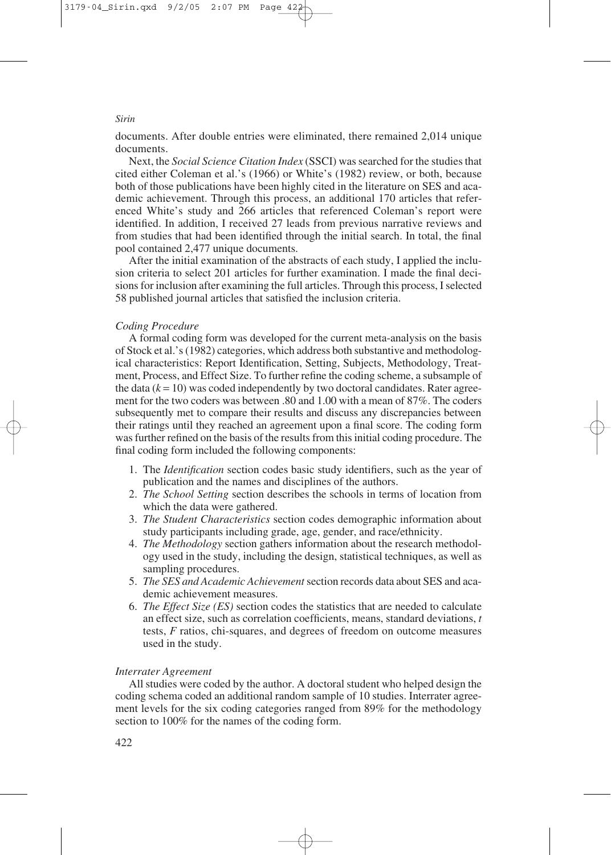documents. After double entries were eliminated, there remained 2,014 unique documents.

Next, the *Social Science Citation Index* (SSCI) was searched for the studies that cited either Coleman et al.'s (1966) or White's (1982) review, or both, because both of those publications have been highly cited in the literature on SES and academic achievement. Through this process, an additional 170 articles that referenced White's study and 266 articles that referenced Coleman's report were identified. In addition, I received 27 leads from previous narrative reviews and from studies that had been identified through the initial search. In total, the final pool contained 2,477 unique documents.

After the initial examination of the abstracts of each study, I applied the inclusion criteria to select 201 articles for further examination. I made the final decisions for inclusion after examining the full articles. Through this process, I selected 58 published journal articles that satisfied the inclusion criteria.

#### *Coding Procedure*

A formal coding form was developed for the current meta-analysis on the basis of Stock et al.'s (1982) categories, which address both substantive and methodological characteristics: Report Identification, Setting, Subjects, Methodology, Treatment, Process, and Effect Size. To further refine the coding scheme, a subsample of the data  $(k = 10)$  was coded independently by two doctoral candidates. Rater agreement for the two coders was between .80 and 1.00 with a mean of 87%. The coders subsequently met to compare their results and discuss any discrepancies between their ratings until they reached an agreement upon a final score. The coding form was further refined on the basis of the results from this initial coding procedure. The final coding form included the following components:

- 1. The *Identification* section codes basic study identifiers, such as the year of publication and the names and disciplines of the authors.
- 2. *The School Setting* section describes the schools in terms of location from which the data were gathered.
- 3. *The Student Characteristics* section codes demographic information about study participants including grade, age, gender, and race/ethnicity.
- 4. *The Methodology* section gathers information about the research methodology used in the study, including the design, statistical techniques, as well as sampling procedures.
- 5. *The SES and Academic Achievement* section records data about SES and academic achievement measures.
- 6. *The Effect Size (ES)* section codes the statistics that are needed to calculate an effect size, such as correlation coefficients, means, standard deviations, *t* tests, *F* ratios, chi-squares, and degrees of freedom on outcome measures used in the study.

#### *Interrater Agreement*

All studies were coded by the author. A doctoral student who helped design the coding schema coded an additional random sample of 10 studies. Interrater agreement levels for the six coding categories ranged from 89% for the methodology section to 100% for the names of the coding form.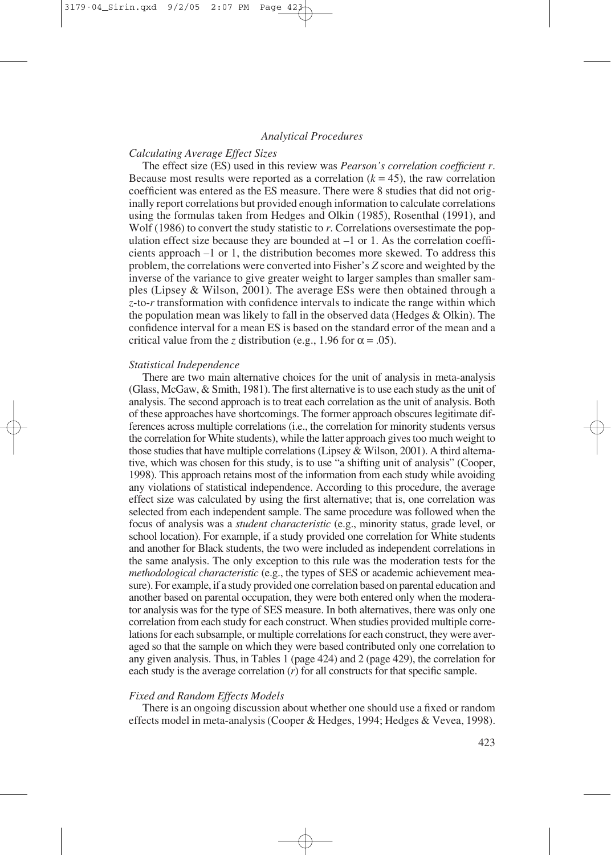#### *Analytical Procedures*

# *Calculating Average Effect Sizes*

The effect size (ES) used in this review was *Pearson's correlation coefficient r*. Because most results were reported as a correlation  $(k = 45)$ , the raw correlation coefficient was entered as the ES measure. There were 8 studies that did not originally report correlations but provided enough information to calculate correlations using the formulas taken from Hedges and Olkin (1985), Rosenthal (1991), and Wolf (1986) to convert the study statistic to *r*. Correlations oversestimate the population effect size because they are bounded at  $-1$  or 1. As the correlation coefficients approach –1 or 1, the distribution becomes more skewed. To address this problem, the correlations were converted into Fisher's *Z* score and weighted by the inverse of the variance to give greater weight to larger samples than smaller samples (Lipsey & Wilson, 2001). The average ESs were then obtained through a *z*-to-*r* transformation with confidence intervals to indicate the range within which the population mean was likely to fall in the observed data (Hedges & Olkin). The confidence interval for a mean ES is based on the standard error of the mean and a critical value from the *z* distribution (e.g., 1.96 for  $\alpha = .05$ ).

#### *Statistical Independence*

There are two main alternative choices for the unit of analysis in meta-analysis (Glass, McGaw, & Smith, 1981). The first alternative is to use each study as the unit of analysis. The second approach is to treat each correlation as the unit of analysis. Both of these approaches have shortcomings. The former approach obscures legitimate differences across multiple correlations (i.e., the correlation for minority students versus the correlation for White students), while the latter approach gives too much weight to those studies that have multiple correlations (Lipsey  $\&$  Wilson, 2001). A third alternative, which was chosen for this study, is to use "a shifting unit of analysis" (Cooper, 1998). This approach retains most of the information from each study while avoiding any violations of statistical independence. According to this procedure, the average effect size was calculated by using the first alternative; that is, one correlation was selected from each independent sample. The same procedure was followed when the focus of analysis was a *student characteristic* (e.g., minority status, grade level, or school location). For example, if a study provided one correlation for White students and another for Black students, the two were included as independent correlations in the same analysis. The only exception to this rule was the moderation tests for the *methodological characteristic* (e.g., the types of SES or academic achievement measure). For example, if a study provided one correlation based on parental education and another based on parental occupation, they were both entered only when the moderator analysis was for the type of SES measure. In both alternatives, there was only one correlation from each study for each construct. When studies provided multiple correlations for each subsample, or multiple correlations for each construct, they were averaged so that the sample on which they were based contributed only one correlation to any given analysis. Thus, in Tables 1 (page 424) and 2 (page 429), the correlation for each study is the average correlation (*r*) for all constructs for that specific sample.

#### *Fixed and Random Effects Models*

There is an ongoing discussion about whether one should use a fixed or random effects model in meta-analysis (Cooper & Hedges, 1994; Hedges & Vevea, 1998).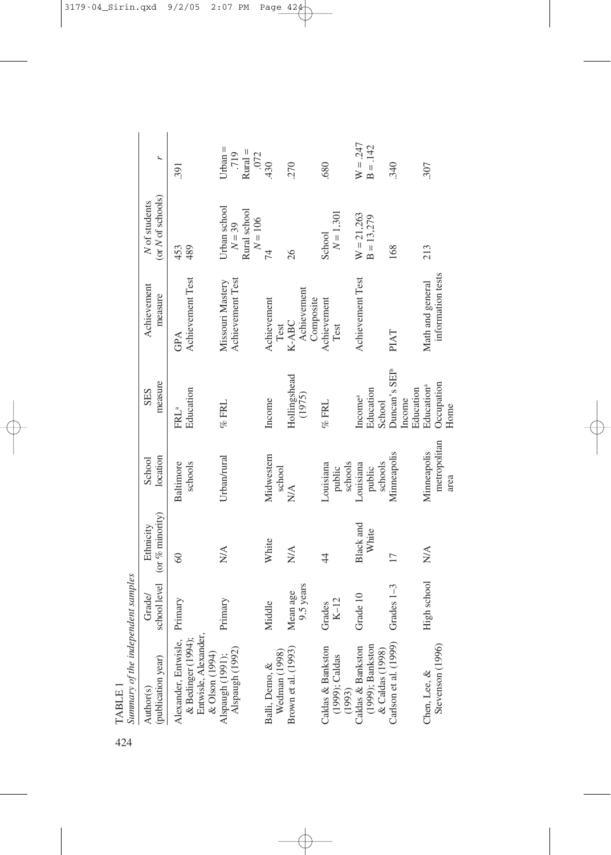| 424 | Summary of the independent samples<br>TABLE 1                                        |                       |                                 |                                     |                                                  |                                       |                                                       |                                           |
|-----|--------------------------------------------------------------------------------------|-----------------------|---------------------------------|-------------------------------------|--------------------------------------------------|---------------------------------------|-------------------------------------------------------|-------------------------------------------|
|     | (publication year)<br>Author(s)                                                      | school level<br>Grade | (or $%$ minority)<br>Ethnicity  | location<br>School                  | measure<br>SES                                   | Achievement<br>measure                | (or N of schools)<br>N of students                    | L                                         |
|     | Entwisle, Alexander,<br>& Olson (1994)<br>& Bedinger (1994);<br>Alexander, Entwisle, | Primary               | 60                              | schools<br><b>Baltimore</b>         | Education<br>FRL <sup>a</sup>                    | Achievement Test<br>GPA               | 489<br>453                                            | 391                                       |
|     | Alspaugh (1991);<br>Alspaugh (1992)                                                  | Primary               | $\stackrel{\triangle}{\approx}$ | Urban/rural                         | $%$ FRL                                          | Achievement Test<br>Missouri Mastery  | Urban school<br>Rural school<br>$N = 106$<br>$N = 39$ | $U$ rban $=$<br>$Rural =$<br>.719<br>.072 |
|     | Balli, Demo, &<br>Wedman (1998)                                                      | Middle                | White                           | Midwestern<br>school                | Income                                           | Achievement<br>Test                   | 74                                                    | .430                                      |
|     | Brown et al. (1993)                                                                  | 9.5 years<br>Mean age | N/A                             | $\stackrel{\triangle}{\geq}$        | Hollingshead<br>(1975)                           | Achievement<br>Composite<br>K-ABC     | 26                                                    | 270                                       |
|     | Caldas & Bankston<br>(1999); Caldas<br>(1993)<br>Caldas & Bankston                   | $K-12$<br>Grades      | $\overline{4}$                  | schools<br>Louisiana<br>public      | $\%$ FRL                                         | Achievement<br>Test                   | $N = 1,301$<br>School                                 | .680                                      |
|     | $(1999)$ ; Bankston<br>& Caldas $(1998)$                                             | Grade 10              | Black and<br>White              | schools<br>Louisiana<br>public      | Education<br>Income <sup>a</sup><br>School       | Achievement Test                      | $W = 21,263$<br>$B = 13,279$                          | $W = .247$<br>$B = .142$                  |
|     | Carlson et al. (1999)                                                                | Grades $1-3$          | $\overline{17}$                 | Minneapolis                         | Duncan's SEI <sup>b</sup><br>Education<br>Income | PIAT                                  | 168                                                   | 340                                       |
|     | Stevenson (1996)<br>Chen, Lee, &                                                     | High school           | $N\!A$                          | metropolitan<br>Minneapolis<br>area | Occupation<br>Education <sup>a</sup><br>Home     | information tests<br>Math and general | 213                                                   | 307                                       |

 $\begin{array}{ll}\n\text{TABLE 1} \\
\text{Summary of} \\
\text{Summary of}\n\end{array}$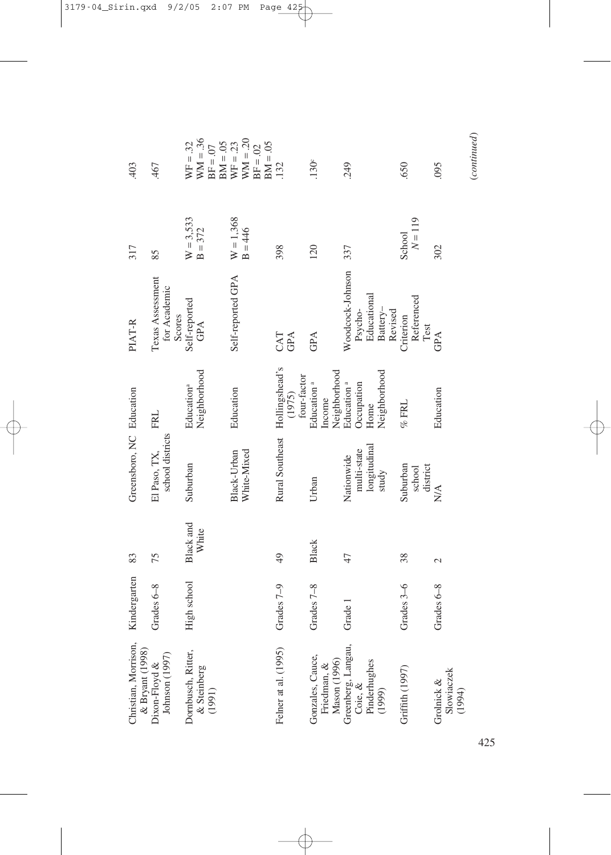| Christian, Morrison,<br>& Bryant (1998)                    | Kindergarten | 83                       | Greensboro, NC Education                           |                                                              | PIAT-R                                                            | 317                      | 403                                                  |
|------------------------------------------------------------|--------------|--------------------------|----------------------------------------------------|--------------------------------------------------------------|-------------------------------------------------------------------|--------------------------|------------------------------------------------------|
| Johnson (1997)<br>Dixon-Floyd &                            | Grades 6-8   | 75                       | school districts<br>El Paso, TX,                   | <b>FRL</b>                                                   | Texas Assessment<br>for Academic<br>Scores                        | 85                       | .467                                                 |
| Dombusch, Ritter,<br>$\&$ Steinberg<br>(1991)              | High school  | Black and<br>White       | Suburban                                           | Neighborhood<br>Education <sup>a</sup>                       | Self-reported<br>GPA                                              | $W = 3,533$<br>$B = 372$ | $WW = .36$<br>$WF = .32$<br>$BM = .05$<br>$BF = .07$ |
|                                                            |              |                          | White-Mixed<br>Black-Urban                         | Education                                                    | Self-reported GPA                                                 | $W = 1,368$<br>$B = 446$ | $WW = .20$<br>$WF = .23$<br>$BM = .05$<br>$BF = .02$ |
| Felner at al. (1995)                                       | Grades 7-9   | $\overline{6}$           | Rural Southeast Hollingshead's                     | four-factor<br>(1975)                                        | CAT<br>GPA                                                        | 398                      | 132                                                  |
| Gonzales, Cauce,<br>Mason (1996)<br>Friedman, &            | Grades 7-8   | Black                    | Urban                                              | Neighborhood<br>Education <sup>a</sup><br>Income             | GPA                                                               | 120                      | .130 <sup>c</sup>                                    |
| Greenberg, Langau,<br>Pinderhughes<br>Coie, $\&$<br>(1999) | Grade 1      | 47                       | longitudinal<br>multi-state<br>Nationwide<br>study | Neighborhood<br>Education <sup>a</sup><br>Occupation<br>Home | Woodcock-Johnson<br>Educational<br>Battery-<br>Psycho-<br>Revised | 337                      | 249                                                  |
| Griffith (1997)                                            | Grades 3-6   | 38                       | Suburban<br>district<br>school                     | $%$ FRL                                                      | Referenced<br>Criterion<br>Test                                   | $N = 119$<br>School      | .650                                                 |
| Slowiaczek<br>Grolnick &<br>(1994)                         | Grades 6-8   | $\overline{\mathcal{C}}$ | N/A                                                | Education                                                    | GPA                                                               | 302                      | 095                                                  |

 $\label{eq:constrained} (continued)$ (*continued*)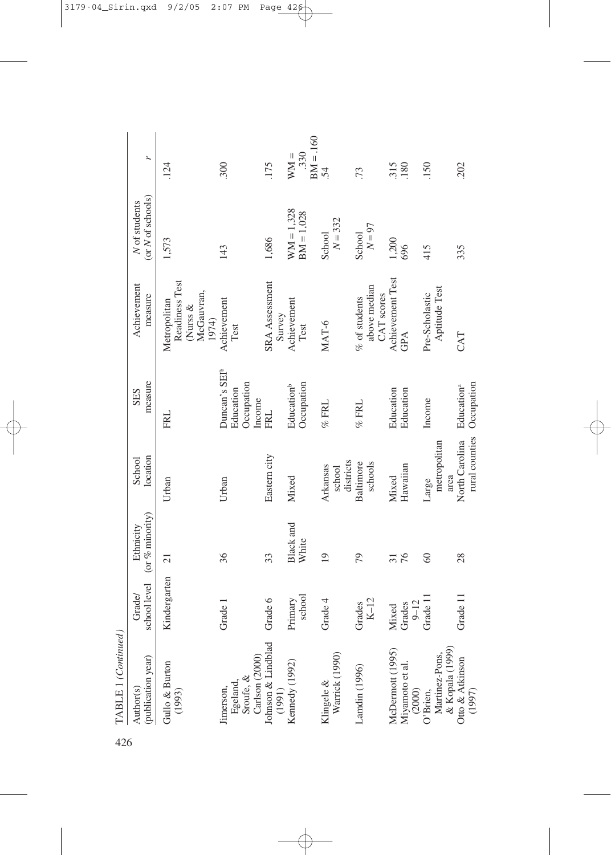| 426 | TABLE 1 (Continued                                                                                |                               |                                |                                  |                                                                |                                                                   |                                           |                              |
|-----|---------------------------------------------------------------------------------------------------|-------------------------------|--------------------------------|----------------------------------|----------------------------------------------------------------|-------------------------------------------------------------------|-------------------------------------------|------------------------------|
|     | (publication year)<br>Author(s)                                                                   | school level<br><b>Grade/</b> | (or $%$ minority)<br>Ethnicity | location<br>School               | measure<br><b>SES</b>                                          | Achievement<br>measure                                            | (or <i>N</i> of schools)<br>N of students | r                            |
|     | Gullo & Burton<br>(1993)                                                                          | Kindergarten                  | $\overline{c}$                 | Urban                            | <b>FRL</b>                                                     | Readiness Test<br>McGauvran,<br>Metropolitan<br>(Nurss &<br>1974) | 1,573                                     | .124                         |
|     | Sroufe, &<br>Egeland,<br>Jimerson,                                                                | Grade 1                       | 36                             | Urban                            | Duncan's SEI <sup>b</sup><br>Occupation<br>Education<br>Income | Achievement<br>Test                                               | 143                                       | 300                          |
|     | Carlson (2000)<br>Johnson & Lindblad<br>(1991)                                                    | Grade 6                       | 33                             | Eastern city                     | FRL                                                            | <b>SRA</b> Assessment<br>Survey                                   | 1,686                                     | 175                          |
|     | Kennedy (1992)                                                                                    | school<br>Primary             | Black and<br>White             | Mixed                            | Occupation<br>Education <sup>b</sup>                           | Achievement<br>Test                                               | $WM = 1,328$<br>BM = 1,028                | $BM = 160$<br>.330<br>$WM =$ |
|     | Klingele &<br>Warrick (1990)                                                                      | Grade 4                       | $\overline{19}$                | districts<br>Arkansas<br>school  | $\%$ FRL                                                       | MAT-6                                                             | $N = 332$<br>School                       | $\overline{54}$              |
|     | Landin (1996)                                                                                     | $K-12$<br>Grades              | 79                             | Baltimore<br>schools             | $\%$ FRL                                                       | above median<br>CAT scores<br>$%$ of students                     | $N = 97$<br>School                        | .73                          |
|     | McDermott (1995)<br>Miyamoto et al.                                                               | $9 - 12$<br>Grades<br>Mixed   | 76<br>$\overline{31}$          | Hawaiian<br>Mixed                | Education<br>Education                                         | Achievement Test<br>GPA                                           | 1,200<br>696                              | 180<br>315                   |
|     | (2000)<br>O'Brien,<br>Martinez-Pons,                                                              | Grade 11                      | $\degree$                      | metropolitan<br>area<br>Large    | Income                                                         | Aptitude Test<br>Pre-Scholastic                                   | 415                                       | .150                         |
|     | $\begin{array}{c} \text{\& Kopala (1999)}\\ \text{Orto} \text{\& Atkinson} \end{array}$<br>(1997) | Grade 11                      | 28                             | rural counties<br>North Carolina | Occupation<br>Education <sup>a</sup>                           | CAT                                                               | 335                                       | 202                          |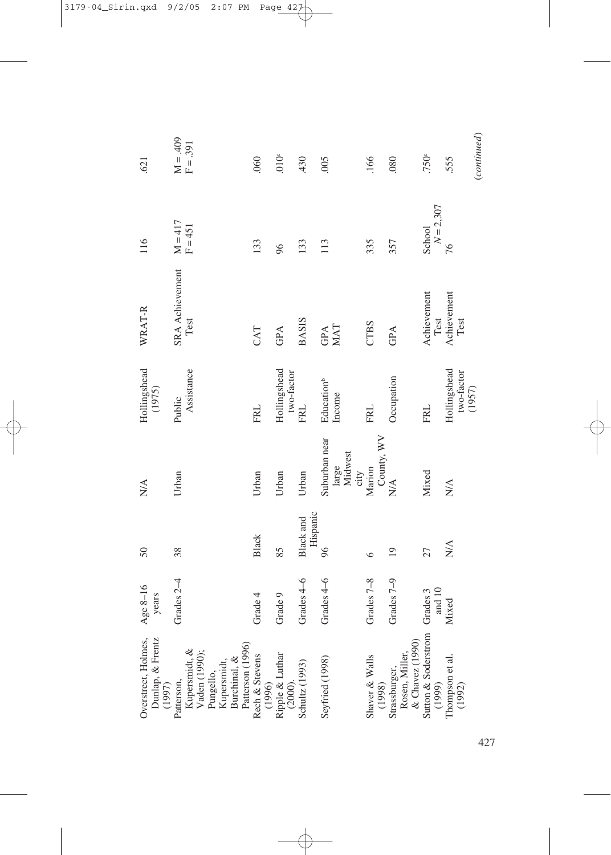|                                       | 38<br>50<br>Grades 2-4<br>Age 8-16<br>years | Urban<br>N/A                              | Hollingshead<br>(1975)<br>Public     | SRA Achievement<br>WRAT-R | $M = 417$<br>F=451<br>116 | $M = 409$<br>.621  |
|---------------------------------------|---------------------------------------------|-------------------------------------------|--------------------------------------|---------------------------|---------------------------|--------------------|
|                                       |                                             |                                           | Assistance                           | Test                      |                           | $F = .391$         |
| Black<br>Grade 4                      |                                             | Urban                                     | <b>FRL</b>                           | CAT                       | 133                       | .060               |
| 85<br>Grade 9                         |                                             | Urban                                     | Hollingshead<br>two-factor           | GPA                       | 96                        | 010 <sup>c</sup>   |
| Hispanic<br>Black and<br>Grades 4-6   |                                             | Urban                                     | FRL                                  | <b>BASIS</b>              | 133                       | 430                |
| 96<br>Grades 4-6                      |                                             | Suburban near<br>large<br>Midwest<br>city | Education <sup>b</sup><br>Income     | MAT<br>GPA                | 113                       | 005                |
| $\circ$<br>Grades 7-8                 |                                             | County, WV<br>Marion                      | <b>FRL</b>                           | <b>CTBS</b>               | 335                       | .166               |
| $\overline{19}$<br>Grades 7-9         |                                             | $\frac{\mathbf{A}}{\mathbf{N}}$           | Occupation                           | GPA                       | 357                       | .080               |
| 27<br>and 10<br>Grades 3              |                                             | Mixed                                     | <b>FRL</b>                           | Achievement<br>Test       | $N = 2,307$<br>School     | .750c              |
| $\stackrel{\triangle}{\geq}$<br>Mixed |                                             | $\frac{\triangleleft}{N}$                 | Hollingshead<br>two-factor<br>(1957) | Achievement<br>Test       | 76                        | (continued)<br>555 |
|                                       |                                             |                                           |                                      |                           |                           |                    |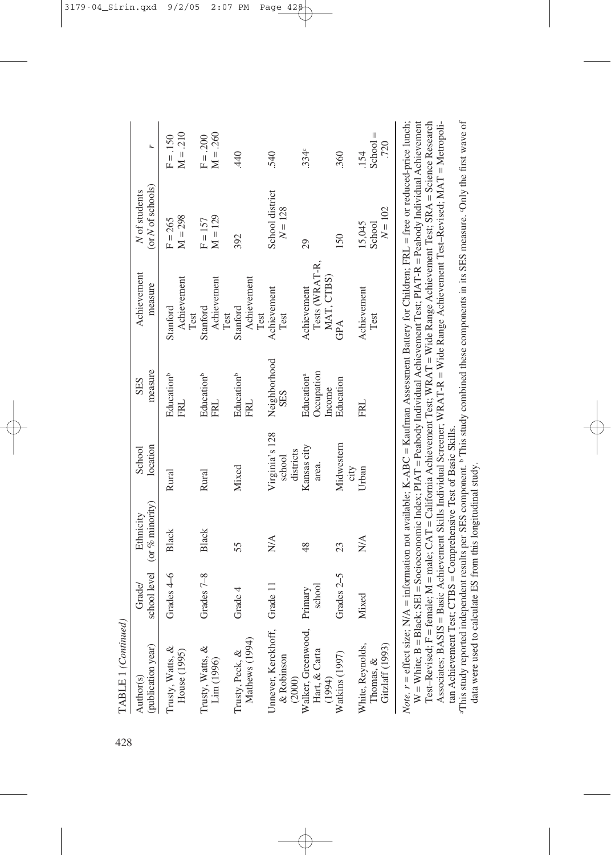| (or N of schools)<br>N of students<br>Achievement<br>measure | $M = 298$<br>$F = 265$<br>Achievement      | $M = 129$<br>$F = 157$<br>Achievement      | 392<br>Achievement                         | School district<br>$N = 128$<br>Achievement   | 29<br>Tests (WRAT-R,<br>MAT, CTBS)<br>Achievement | 150              | $N = 102$<br>15,045<br>School<br>Achievement     |
|--------------------------------------------------------------|--------------------------------------------|--------------------------------------------|--------------------------------------------|-----------------------------------------------|---------------------------------------------------|------------------|--------------------------------------------------|
| measure<br><b>SES</b>                                        | Stanford<br>Test<br>Education <sup>b</sup> | Stanford<br>Test<br>Education <sup>b</sup> | Stanford<br>Test<br>Education <sup>b</sup> | Test<br>Neighborhood<br><b>SES</b>            | Occupation<br>Education <sup>a</sup><br>Income    | GPA<br>Education | Test                                             |
| location<br>School                                           | FRL<br>Rural                               | <b>FRL</b><br>Rural                        | <b>FRL</b><br>Mixed                        | Virginia's 128<br>districts<br>school         | Kansas city<br>area.                              | Midwestern       | FRI<br>city<br>Urban                             |
| (or $\%$ minority)<br>Ethnicity                              | <b>Black</b>                               | Black                                      | 55                                         | $\stackrel{\triangle}{\geq}$                  | $\frac{8}{3}$                                     | 23               | $\stackrel{\triangle}{\geq}$                     |
| school level<br>Grade/                                       | Grades 4-6                                 | Grades 7-8                                 | Grade $4$                                  | Grade 11                                      | school<br>Primary                                 | Grades 2-5       | Mixed                                            |
| (publication year)<br>Author(s)                              | Trusty, Watts, &<br>House (1995)           | Trusty, Watts, &<br>Lim (1996)             | Mathews (1994)<br>Trusty, Peck, &          | Jnnever, Kerckhoff,<br>& Robinson<br>$(2000)$ | Walker, Greenwood,<br>Hart, & Carta<br>(1994)     | Watkins (1997)   | Gitzlaff (1993)<br>White, Reynolds,<br>Thomas, & |

Note,  $r =$  effect size; N/A = information not available; K-ABC = Kaufman Assessment Battery for Children; FRL = free or reduced-price lunch; W = White; B = Black; SEI = Socioeconomic Index; PIAT = Peabody Individual Achievement Test; PIAT-R = Peabody Individual Achievement<br>Test–Revised; F = female; M = male; CAT = California Achievement Test; WRAT = Wide Range = White; B = Black; SEI = Socioeconomic Index; PIAT = Peabody Individual Achievement Test; PIAT-R = Peabody Individual Achievement Test–Revised; F = female; M = male; CAT = California Achievement Test; WRAT = Wide Range Achievement Test; SRA = Science Research *Note.*  $r =$  effect size; N/A = information not available; K-ABC = Kaufman Assessment Battery for Children; FRL = free or reduced-price lunch; Associates; BASIS = Basic Achievement Skills Individual Screener; WRAT-R = Wide Range Achievement Test–Revised; MAT = Metropolitan Achievement Test; CTBS = Comprehensive Test of Basic Skills. tan Achievement Test; CTBS = Comprehensive Test of Basic Skills.

"This study reported independent results per SES component. <sup>b</sup> This study combined these components in its SES measure. Only the first wave of aThis study reported independent results per SES component. b This study combined these components in its SES measure. cOnly the first wave of data were used to calculate ES from this longitudinal study. data were used to calculate ES from this longitudinal study.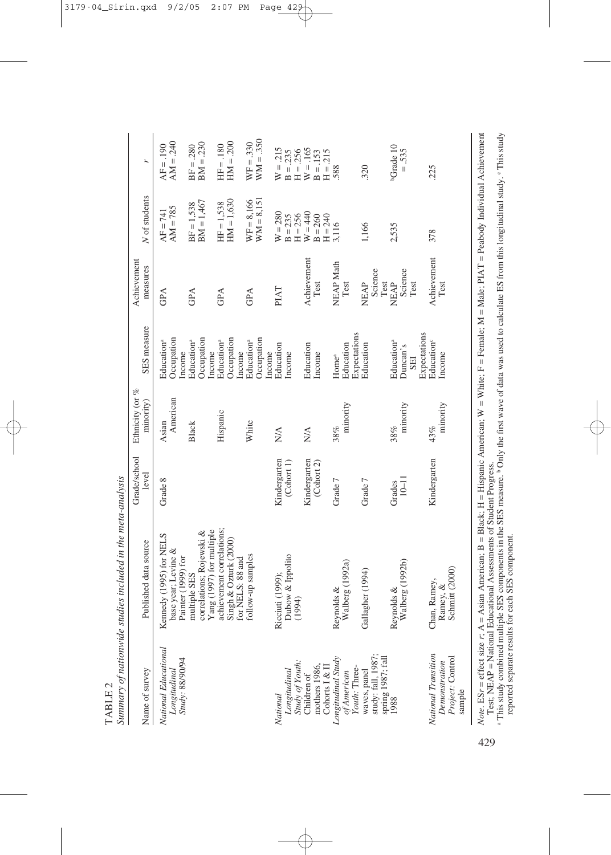| Name of survey                                                     | Published data source                                                  | Grade/school<br>level      | Ethnicity (or %<br>minority) | SES measure                                                      | Achievement<br>measures        | N of students                       | r.                                     |
|--------------------------------------------------------------------|------------------------------------------------------------------------|----------------------------|------------------------------|------------------------------------------------------------------|--------------------------------|-------------------------------------|----------------------------------------|
| National Educational<br>Longitudinal<br>Study: 88/90/94            | Kennedy (1995) for NELS<br>base year; Levine &<br>Painter (1999) for   | Grade 8                    | American<br>Asian            | Occupation<br>Education <sup>a</sup><br>ncome                    | GPA                            | $AM = 785$<br>$AF = 741$            | $AM = .240$<br>$AF = 190$              |
|                                                                    | Yang (1997) for multiple<br>correlations; Rojewski &<br>multiple SES   |                            | Black                        | Occupation<br>Education <sup>a</sup><br>Income                   | GPA                            | $BM = 1,467$<br>$BF = 1,538$        | $BM = .230$<br>$BF = .280$             |
|                                                                    | achievement correlations;<br>Singh & Ozturk (2000)<br>for NELS: 88 and |                            | Hispanic                     | Occupation<br>Education <sup>a</sup><br>Income                   | GPA                            | $HM = 1,630$<br>$HF = 1,538$        | $HM = .200$<br>$HF = .180$             |
|                                                                    | follow-up samples                                                      |                            | White                        | Occupation<br>Education <sup>a</sup><br>Income                   | GPA                            | $WW = 8,151$<br>$WF = 8,166$        | $WW = .350$<br>$WF = .330$             |
| Longitudinal<br>Study of Youth:<br>Children of<br>National         | Dubow & Ippolito<br>Ricciuti (1999);<br>(1994)                         | Kindergarten<br>(Conort 1) | <b>N/A</b>                   | Education<br><b>Income</b>                                       | PIAT                           | $W = 280$<br>$H = 256$<br>$B = 235$ | $W = 0.215$<br>$H = 256$<br>$B = .235$ |
| mothers 1986<br>Cohorts I & II                                     |                                                                        | Kindergarten<br>(Color 2)  | <b>N/A</b>                   | Education<br>Income                                              | Achievement<br>Test            | $W = 440$<br>$B = 260$<br>$H = 240$ | $W = 165$<br>$H = 215$<br>$B = .153$   |
| Longitudinal Study<br>Youth: Three-<br>of American                 | Walberg (1992a)<br>Reynolds &                                          | Grade 7                    | minority<br>38%              | Expectations<br>Education<br>Home <sup>a</sup>                   | <b>NEAP Math</b><br>Test       | 3,116                               | 588                                    |
| waves, panel<br>study: fall, 1987                                  | Gallagher (1994)                                                       | Grade 7                    |                              | Education                                                        | Science<br>Test<br><b>NEAP</b> | 1,166                               | 320                                    |
| spring 1987; fall<br>1988                                          | Walberg (1992b)<br>Reynolds &                                          | $10 - 11$<br>Grades        | minority<br>38%              | Expectations<br>Education <sup>a</sup><br>Duncan's<br><b>SEI</b> | Science<br><b>NEAP</b><br>Test | 2,535                               | bGrade 10<br>$=.535$                   |
| National Transition<br>Project: Control<br>Demonstration<br>sample | Schmitt (2000)<br>Chan, Ramey,<br>Ramey, &                             | Kindergarten               | minority<br>43%              | Education®<br>Income                                             | Achievement<br>Test            | 378                                 | 225                                    |

TABLE 2

TABLE<sub>2</sub>

Test; NEAP = National Educational Assessments of Student Progress. Test; NEAP = National Educational Assessments of Student Progress.<br>a This study combined multiple SES components in the SES measure. b Only the first wave of data was used to calculate ES from this longitudinal study. CThi This study combined multiple SES components in the SES measure. b Only the first wave of data was used to calculate ES from this longitudinal study. c This study reported separate results for each SES component.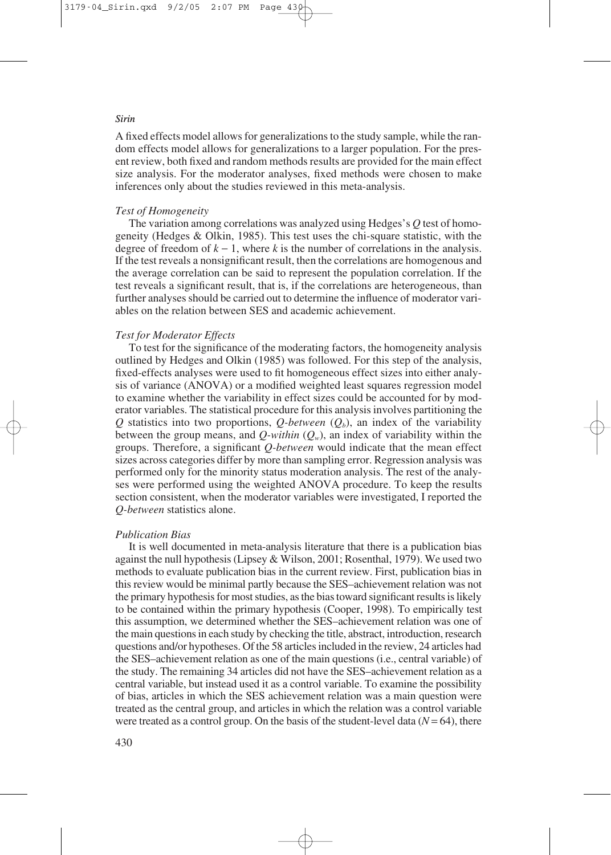A fixed effects model allows for generalizations to the study sample, while the random effects model allows for generalizations to a larger population. For the present review, both fixed and random methods results are provided for the main effect size analysis. For the moderator analyses, fixed methods were chosen to make inferences only about the studies reviewed in this meta-analysis.

## *Test of Homogeneity*

The variation among correlations was analyzed using Hedges's *Q* test of homogeneity (Hedges & Olkin, 1985). This test uses the chi-square statistic, with the degree of freedom of  $k - 1$ , where k is the number of correlations in the analysis. If the test reveals a nonsignificant result, then the correlations are homogenous and the average correlation can be said to represent the population correlation. If the test reveals a significant result, that is, if the correlations are heterogeneous, than further analyses should be carried out to determine the influence of moderator variables on the relation between SES and academic achievement.

## *Test for Moderator Effects*

To test for the significance of the moderating factors, the homogeneity analysis outlined by Hedges and Olkin (1985) was followed. For this step of the analysis, fixed-effects analyses were used to fit homogeneous effect sizes into either analysis of variance (ANOVA) or a modified weighted least squares regression model to examine whether the variability in effect sizes could be accounted for by moderator variables. The statistical procedure for this analysis involves partitioning the *Q* statistics into two proportions, *Q-between*  $(Q_b)$ , an index of the variability between the group means, and  $Q$ -within  $(Q_w)$ , an index of variability within the groups. Therefore, a significant *Q-between* would indicate that the mean effect sizes across categories differ by more than sampling error. Regression analysis was performed only for the minority status moderation analysis. The rest of the analyses were performed using the weighted ANOVA procedure. To keep the results section consistent, when the moderator variables were investigated, I reported the *Q-between* statistics alone.

## *Publication Bias*

It is well documented in meta-analysis literature that there is a publication bias against the null hypothesis (Lipsey & Wilson, 2001; Rosenthal, 1979). We used two methods to evaluate publication bias in the current review. First, publication bias in this review would be minimal partly because the SES–achievement relation was not the primary hypothesis for most studies, as the bias toward significant results is likely to be contained within the primary hypothesis (Cooper, 1998). To empirically test this assumption, we determined whether the SES–achievement relation was one of the main questions in each study by checking the title, abstract, introduction, research questions and/or hypotheses. Of the 58 articles included in the review, 24 articles had the SES–achievement relation as one of the main questions (i.e., central variable) of the study. The remaining 34 articles did not have the SES–achievement relation as a central variable, but instead used it as a control variable. To examine the possibility of bias, articles in which the SES achievement relation was a main question were treated as the central group, and articles in which the relation was a control variable were treated as a control group. On the basis of the student-level data  $(N = 64)$ , there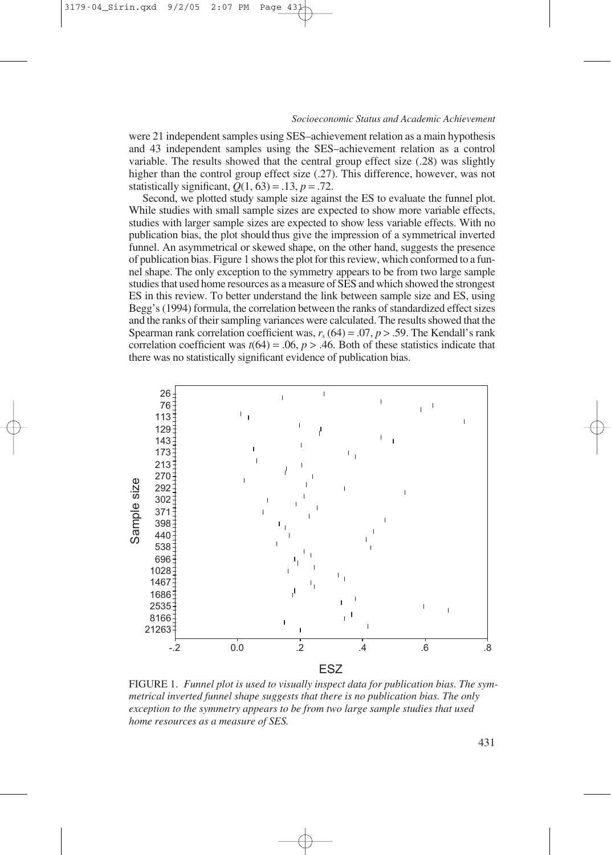were 21 independent samples using SES–achievement relation as a main hypothesis and 43 independent samples using the SES–achievement relation as a control variable. The results showed that the central group effect size (.28) was slightly higher than the control group effect size (.27). This difference, however, was not statistically significant,  $Q(1, 63) = .13$ ,  $p = .72$ .

Second, we plotted study sample size against the ES to evaluate the funnel plot. While studies with small sample sizes are expected to show more variable effects, studies with larger sample sizes are expected to show less variable effects. With no publication bias, the plot should thus give the impression of a symmetrical inverted funnel. An asymmetrical or skewed shape, on the other hand, suggests the presence of publication bias. Figure 1 shows the plot for this review, which conformed to a funnel shape. The only exception to the symmetry appears to be from two large sample studies that used home resources as a measure of SES and which showed the strongest ES in this review. To better understand the link between sample size and ES, using Begg's (1994) formula, the correlation between the ranks of standardized effect sizes and the ranks of their sampling variances were calculated. The results showed that the Spearman rank correlation coefficient was,  $r_s$  (64) = .07,  $p > .59$ . The Kendall's rank correlation coefficient was  $t(64) = .06$ ,  $p > .46$ . Both of these statistics indicate that there was no statistically significant evidence of publication bias.



FIGURE 1. *Funnel plot is used to visually inspect data for publication bias. The symmetrical inverted funnel shape suggests that there is no publication bias. The only exception to the symmetry appears to be from two large sample studies that used home resources as a measure of SES.*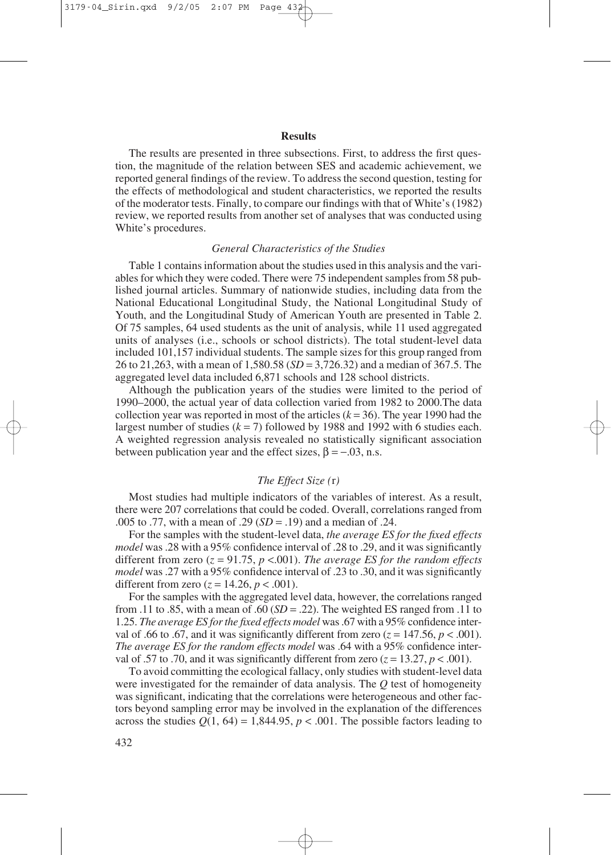## **Results**

The results are presented in three subsections. First, to address the first question, the magnitude of the relation between SES and academic achievement, we reported general findings of the review. To address the second question, testing for the effects of methodological and student characteristics, we reported the results of the moderator tests. Finally, to compare our findings with that of White's (1982) review, we reported results from another set of analyses that was conducted using White's procedures.

# *General Characteristics of the Studies*

Table 1 contains information about the studies used in this analysis and the variables for which they were coded. There were 75 independent samples from 58 published journal articles. Summary of nationwide studies, including data from the National Educational Longitudinal Study, the National Longitudinal Study of Youth, and the Longitudinal Study of American Youth are presented in Table 2. Of 75 samples, 64 used students as the unit of analysis, while 11 used aggregated units of analyses (i.e., schools or school districts). The total student-level data included 101,157 individual students. The sample sizes for this group ranged from 26 to 21,263, with a mean of 1,580.58 (*SD* = 3,726.32) and a median of 367.5. The aggregated level data included 6,871 schools and 128 school districts.

Although the publication years of the studies were limited to the period of 1990–2000, the actual year of data collection varied from 1982 to 2000.The data collection year was reported in most of the articles  $(k = 36)$ . The year 1990 had the largest number of studies  $(k = 7)$  followed by 1988 and 1992 with 6 studies each. A weighted regression analysis revealed no statistically significant association between publication year and the effect sizes,  $\beta = -0.03$ , n.s.

# *The Effect Size (*r*)*

Most studies had multiple indicators of the variables of interest. As a result, there were 207 correlations that could be coded. Overall, correlations ranged from .005 to .77, with a mean of .29 (*SD* = .19) and a median of .24.

For the samples with the student-level data, *the average ES for the fixed effects model* was .28 with a 95% confidence interval of .28 to .29, and it was significantly different from zero (*z* = 91.75, *p* <.001). *The average ES for the random effects model* was .27 with a 95% confidence interval of .23 to .30, and it was significantly different from zero  $(z = 14.26, p < .001)$ .

For the samples with the aggregated level data, however, the correlations ranged from .11 to .85, with a mean of .60  $(SD = .22)$ . The weighted ES ranged from .11 to 1.25. *The average ES for the fixed effects model* was .67 with a 95% confidence interval of .66 to .67, and it was significantly different from zero  $(z = 147.56, p < .001)$ . *The average ES for the random effects model* was .64 with a 95% confidence interval of .57 to .70, and it was significantly different from zero  $(z = 13.27, p < .001)$ .

To avoid committing the ecological fallacy, only studies with student-level data were investigated for the remainder of data analysis. The *Q* test of homogeneity was significant, indicating that the correlations were heterogeneous and other factors beyond sampling error may be involved in the explanation of the differences across the studies  $Q(1, 64) = 1,844.95$ ,  $p < .001$ . The possible factors leading to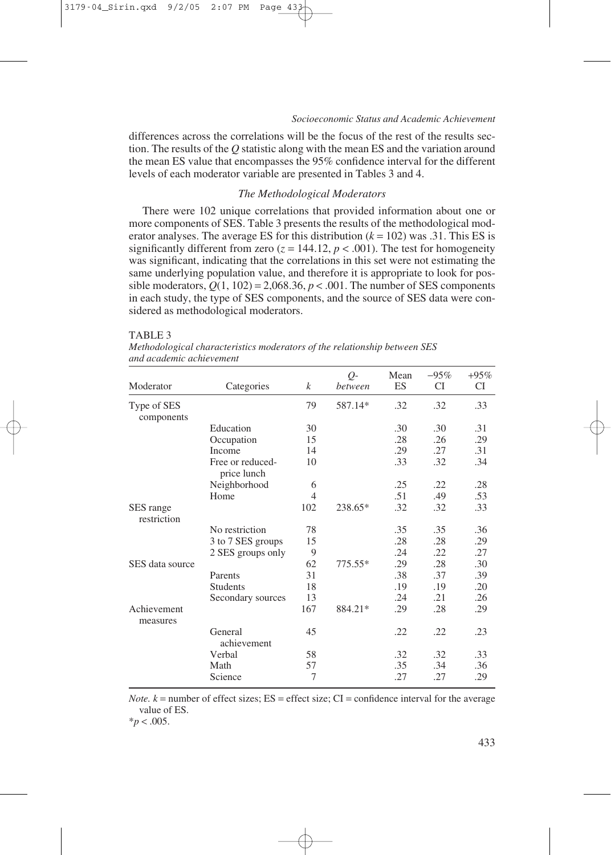differences across the correlations will be the focus of the rest of the results section. The results of the *Q* statistic along with the mean ES and the variation around the mean ES value that encompasses the 95% confidence interval for the different levels of each moderator variable are presented in Tables 3 and 4.

#### *The Methodological Moderators*

There were 102 unique correlations that provided information about one or more components of SES. Table 3 presents the results of the methodological moderator analyses. The average ES for this distribution  $(k = 102)$  was .31. This ES is significantly different from zero  $(z = 144.12, p < .001)$ . The test for homogeneity was significant, indicating that the correlations in this set were not estimating the same underlying population value, and therefore it is appropriate to look for possible moderators,  $Q(1, 102) = 2,068.36, p < .001$ . The number of SES components in each study, the type of SES components, and the source of SES data were considered as methodological moderators.

TABLE 3

| and academic achievement  |                                 |                |               |            |                     |                     |
|---------------------------|---------------------------------|----------------|---------------|------------|---------------------|---------------------|
| Moderator                 | Categories                      | k              | Q-<br>between | Mean<br>ES | $-95%$<br><b>CI</b> | $+95%$<br><b>CI</b> |
| Type of SES<br>components |                                 | 79             | 587.14*       | .32        | .32                 | .33                 |
|                           | Education                       | 30             |               | .30        | .30                 | .31                 |
|                           | Occupation                      | 15             |               | .28        | .26                 | .29                 |
|                           | Income                          | 14             |               | .29        | .27                 | .31                 |
|                           | Free or reduced-<br>price lunch | 10             |               | .33        | .32                 | .34                 |
|                           | Neighborhood                    | 6              |               | .25        | .22                 | .28                 |
|                           | Home                            | $\overline{4}$ |               | .51        | .49                 | .53                 |
| SES range<br>restriction  |                                 | 102            | 238.65*       | .32        | .32                 | .33                 |
|                           | No restriction                  | 78             |               | .35        | .35                 | .36                 |
|                           | 3 to 7 SES groups               | 15             |               | .28        | .28                 | .29                 |
|                           | 2 SES groups only               | 9              |               | .24        | .22                 | .27                 |
| SES data source           |                                 | 62             | 775.55*       | .29        | .28                 | .30                 |
|                           | Parents                         | 31             |               | .38        | .37                 | .39                 |
|                           | <b>Students</b>                 | 18             |               | .19        | .19                 | .20                 |
|                           | Secondary sources               | 13             |               | .24        | .21                 | .26                 |
| Achievement<br>measures   |                                 | 167            | 884.21*       | .29        | .28                 | .29                 |
|                           | General<br>achievement          | 45             |               | .22        | .22                 | .23                 |
|                           | Verbal                          | 58             |               | .32        | .32                 | .33                 |
|                           | Math                            | 57             |               | .35        | .34                 | .36                 |
|                           | Science                         | 7              |               | .27        | .27                 | .29                 |

*Methodological characteristics moderators of the relationship between SES and academic achievement* 

*Note.*  $k =$  number of effect sizes;  $ES =$  effect size;  $CI =$  confidence interval for the average value of ES.

 $*_{p}$  < .005.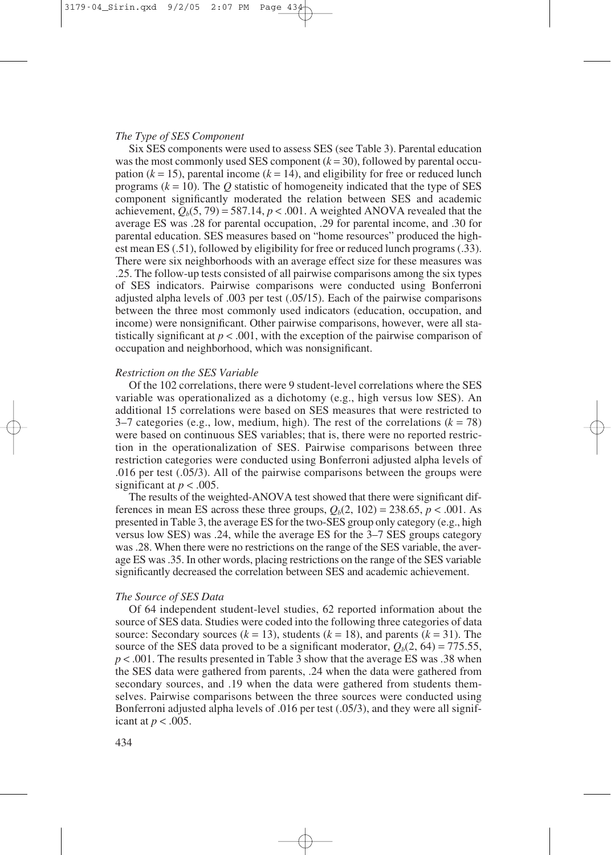#### *The Type of SES Component*

Six SES components were used to assess SES (see Table 3). Parental education was the most commonly used SES component  $(k = 30)$ , followed by parental occupation  $(k = 15)$ , parental income  $(k = 14)$ , and eligibility for free or reduced lunch programs  $(k = 10)$ . The O statistic of homogeneity indicated that the type of SES component significantly moderated the relation between SES and academic achievement,  $Q_b(5, 79) = 587.14$ ,  $p < .001$ . A weighted ANOVA revealed that the average ES was .28 for parental occupation, .29 for parental income, and .30 for parental education. SES measures based on "home resources" produced the highest mean ES (.51), followed by eligibility for free or reduced lunch programs (.33). There were six neighborhoods with an average effect size for these measures was .25. The follow-up tests consisted of all pairwise comparisons among the six types of SES indicators. Pairwise comparisons were conducted using Bonferroni adjusted alpha levels of .003 per test (.05/15). Each of the pairwise comparisons between the three most commonly used indicators (education, occupation, and income) were nonsignificant. Other pairwise comparisons, however, were all statistically significant at  $p < .001$ , with the exception of the pairwise comparison of occupation and neighborhood, which was nonsignificant.

#### *Restriction on the SES Variable*

Of the 102 correlations, there were 9 student-level correlations where the SES variable was operationalized as a dichotomy (e.g., high versus low SES). An additional 15 correlations were based on SES measures that were restricted to  $3-7$  categories (e.g., low, medium, high). The rest of the correlations ( $k = 78$ ) were based on continuous SES variables; that is, there were no reported restriction in the operationalization of SES. Pairwise comparisons between three restriction categories were conducted using Bonferroni adjusted alpha levels of .016 per test (.05/3). All of the pairwise comparisons between the groups were significant at  $p < .005$ .

The results of the weighted-ANOVA test showed that there were significant differences in mean ES across these three groups,  $Q_b(2, 102) = 238.65$ ,  $p < .001$ . As presented in Table 3, the average ES for the two-SES group only category (e.g., high versus low SES) was .24, while the average ES for the 3–7 SES groups category was .28. When there were no restrictions on the range of the SES variable, the average ES was .35. In other words, placing restrictions on the range of the SES variable significantly decreased the correlation between SES and academic achievement.

#### *The Source of SES Data*

Of 64 independent student-level studies, 62 reported information about the source of SES data. Studies were coded into the following three categories of data source: Secondary sources  $(k = 13)$ , students  $(k = 18)$ , and parents  $(k = 31)$ . The source of the SES data proved to be a significant moderator,  $O_b(2, 64) = 775.55$ , *p* < .001. The results presented in Table 3 show that the average ES was .38 when the SES data were gathered from parents, .24 when the data were gathered from secondary sources, and .19 when the data were gathered from students themselves. Pairwise comparisons between the three sources were conducted using Bonferroni adjusted alpha levels of .016 per test (.05/3), and they were all significant at  $p < .005$ .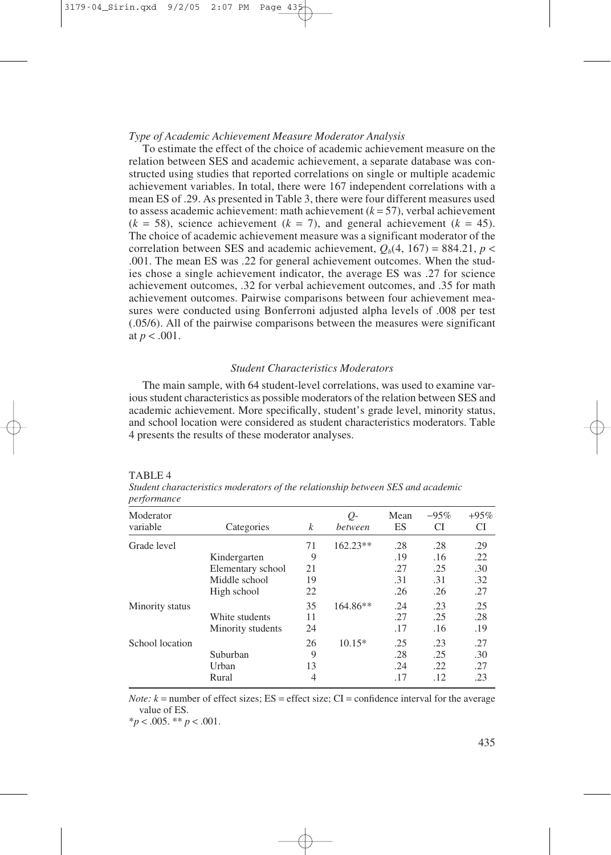#### *Type of Academic Achievement Measure Moderator Analysis*

To estimate the effect of the choice of academic achievement measure on the relation between SES and academic achievement, a separate database was constructed using studies that reported correlations on single or multiple academic achievement variables. In total, there were 167 independent correlations with a mean ES of .29. As presented in Table 3, there were four different measures used to assess academic achievement: math achievement  $(k = 57)$ , verbal achievement  $(k = 58)$ , science achievement  $(k = 7)$ , and general achievement  $(k = 45)$ . The choice of academic achievement measure was a significant moderator of the correlation between SES and academic achievement,  $Q_b(4, 167) = 884.21$ ,  $p <$ .001. The mean ES was .22 for general achievement outcomes. When the studies chose a single achievement indicator, the average ES was .27 for science achievement outcomes, .32 for verbal achievement outcomes, and .35 for math achievement outcomes. Pairwise comparisons between four achievement measures were conducted using Bonferroni adjusted alpha levels of .008 per test (.05/6). All of the pairwise comparisons between the measures were significant at  $p < .001$ .

# *Student Characteristics Moderators*

The main sample, with 64 student-level correlations, was used to examine various student characteristics as possible moderators of the relation between SES and academic achievement. More specifically, student's grade level, minority status, and school location were considered as student characteristics moderators. Table 4 presents the results of these moderator analyses.

|--|--|

| perjormance           |                   |    |                 |            |               |              |
|-----------------------|-------------------|----|-----------------|------------|---------------|--------------|
| Moderator<br>variable | Categories        | k  | $Q-$<br>between | Mean<br>ES | $-95\%$<br>СI | $+95%$<br>СI |
| Grade level           |                   | 71 | $162.23**$      | .28        | .28           | .29          |
|                       | Kindergarten      | 9  |                 | .19        | .16           | .22          |
|                       | Elementary school | 21 |                 | .27        | .25           | .30          |
|                       | Middle school     | 19 |                 | .31        | .31           | .32          |
|                       | High school       | 22 |                 | .26        | .26           | .27          |
| Minority status       |                   | 35 | $164.86**$      | .24        | .23           | .25          |
|                       | White students    | 11 |                 | .27        | .25           | .28          |
|                       | Minority students | 24 |                 | .17        | .16           | .19          |
| School location       |                   | 26 | $10.15*$        | .25        | .23           | .27          |
|                       | Suburban          | 9  |                 | .28        | .25           | .30          |
|                       | Urban             | 13 |                 | .24        | .22           | .27          |
|                       | Rural             | 4  |                 | .17        | .12           | .23          |

*Student characteristics moderators of the relationship between SES and academic performance*

*Note:*  $k =$  number of effect sizes;  $ES =$  effect size;  $CI =$  confidence interval for the average value of ES.

\**p* < .005. \*\* *p* < .001.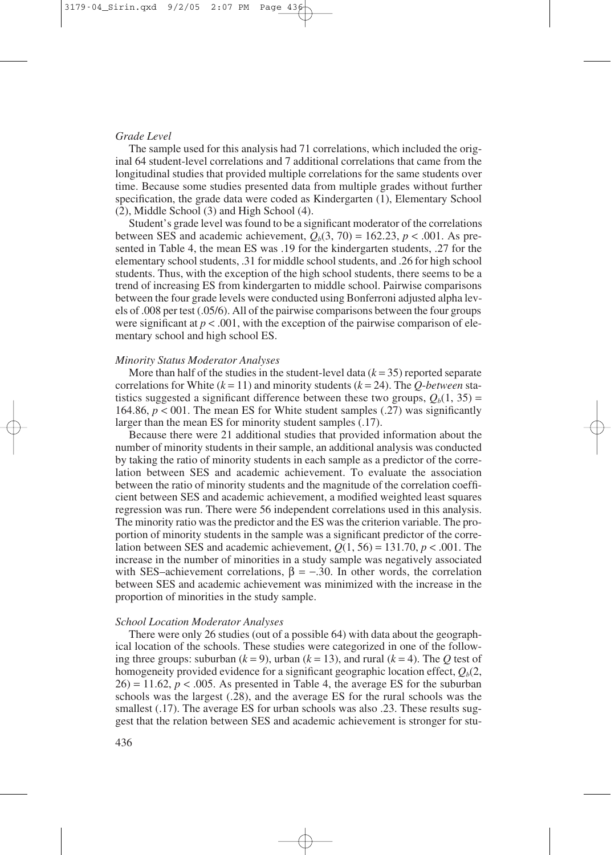## *Grade Level*

The sample used for this analysis had 71 correlations, which included the original 64 student-level correlations and 7 additional correlations that came from the longitudinal studies that provided multiple correlations for the same students over time. Because some studies presented data from multiple grades without further specification, the grade data were coded as Kindergarten (1), Elementary School (2), Middle School (3) and High School (4).

Student's grade level was found to be a significant moderator of the correlations between SES and academic achievement,  $Q_b(3, 70) = 162.23$ ,  $p < .001$ . As presented in Table 4, the mean ES was .19 for the kindergarten students, .27 for the elementary school students, .31 for middle school students, and .26 for high school students. Thus, with the exception of the high school students, there seems to be a trend of increasing ES from kindergarten to middle school. Pairwise comparisons between the four grade levels were conducted using Bonferroni adjusted alpha levels of .008 per test (.05/6). All of the pairwise comparisons between the four groups were significant at  $p < .001$ , with the exception of the pairwise comparison of elementary school and high school ES.

## *Minority Status Moderator Analyses*

More than half of the studies in the student-level data  $(k = 35)$  reported separate correlations for White  $(k = 11)$  and minority students  $(k = 24)$ . The *O-between* statistics suggested a significant difference between these two groups,  $Q_b(1, 35)$  = 164.86,  $p < 001$ . The mean ES for White student samples (.27) was significantly larger than the mean ES for minority student samples (.17).

Because there were 21 additional studies that provided information about the number of minority students in their sample, an additional analysis was conducted by taking the ratio of minority students in each sample as a predictor of the correlation between SES and academic achievement. To evaluate the association between the ratio of minority students and the magnitude of the correlation coefficient between SES and academic achievement, a modified weighted least squares regression was run. There were 56 independent correlations used in this analysis. The minority ratio was the predictor and the ES was the criterion variable. The proportion of minority students in the sample was a significant predictor of the correlation between SES and academic achievement,  $Q(1, 56) = 131.70$ ,  $p < .001$ . The increase in the number of minorities in a study sample was negatively associated with SES–achievement correlations,  $\beta = -.30$ . In other words, the correlation between SES and academic achievement was minimized with the increase in the proportion of minorities in the study sample.

## *School Location Moderator Analyses*

There were only 26 studies (out of a possible 64) with data about the geographical location of the schools. These studies were categorized in one of the following three groups: suburban  $(k = 9)$ , urban  $(k = 13)$ , and rural  $(k = 4)$ . The *Q* test of homogeneity provided evidence for a significant geographic location effect,  $Q_b(2, 1)$  $26$ ) = 11.62,  $p < .005$ . As presented in Table 4, the average ES for the suburban schools was the largest (.28), and the average ES for the rural schools was the smallest (.17). The average ES for urban schools was also .23. These results suggest that the relation between SES and academic achievement is stronger for stu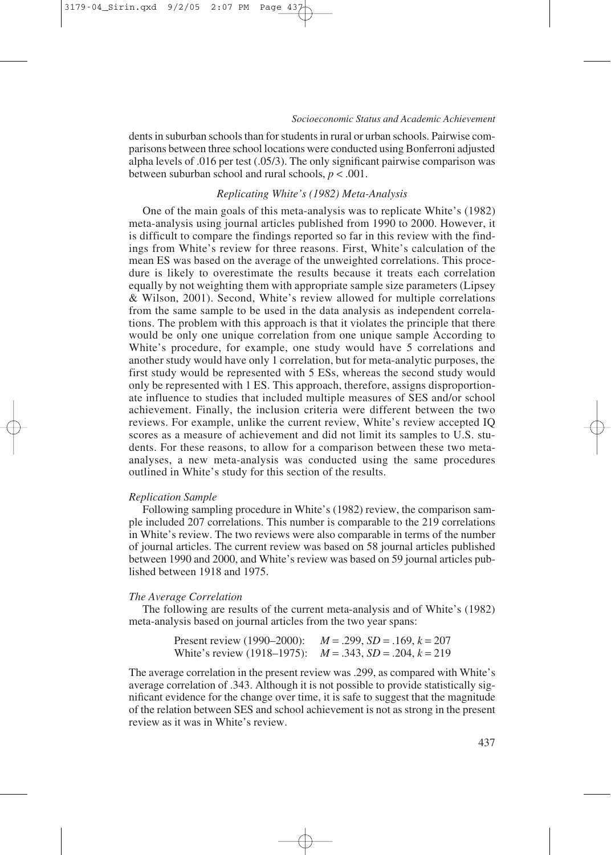dents in suburban schools than for students in rural or urban schools. Pairwise comparisons between three school locations were conducted using Bonferroni adjusted alpha levels of .016 per test (.05/3). The only significant pairwise comparison was between suburban school and rural schools, *p* < .001.

#### *Replicating White's (1982) Meta-Analysis*

One of the main goals of this meta-analysis was to replicate White's (1982) meta-analysis using journal articles published from 1990 to 2000. However, it is difficult to compare the findings reported so far in this review with the findings from White's review for three reasons. First, White's calculation of the mean ES was based on the average of the unweighted correlations. This procedure is likely to overestimate the results because it treats each correlation equally by not weighting them with appropriate sample size parameters (Lipsey & Wilson, 2001). Second, White's review allowed for multiple correlations from the same sample to be used in the data analysis as independent correlations. The problem with this approach is that it violates the principle that there would be only one unique correlation from one unique sample According to White's procedure, for example, one study would have 5 correlations and another study would have only 1 correlation, but for meta-analytic purposes, the first study would be represented with 5 ESs, whereas the second study would only be represented with 1 ES. This approach, therefore, assigns disproportionate influence to studies that included multiple measures of SES and/or school achievement. Finally, the inclusion criteria were different between the two reviews. For example, unlike the current review, White's review accepted IQ scores as a measure of achievement and did not limit its samples to U.S. students. For these reasons, to allow for a comparison between these two metaanalyses, a new meta-analysis was conducted using the same procedures outlined in White's study for this section of the results.

#### *Replication Sample*

Following sampling procedure in White's (1982) review, the comparison sample included 207 correlations. This number is comparable to the 219 correlations in White's review. The two reviews were also comparable in terms of the number of journal articles. The current review was based on 58 journal articles published between 1990 and 2000, and White's review was based on 59 journal articles published between 1918 and 1975.

#### *The Average Correlation*

The following are results of the current meta-analysis and of White's (1982) meta-analysis based on journal articles from the two year spans:

| Present review (1990–2000):                                      | $M = .299$ , $SD = .169$ , $k = 207$ |
|------------------------------------------------------------------|--------------------------------------|
| White's review (1918–1975): $M = .343$ , $SD = .204$ , $k = 219$ |                                      |

The average correlation in the present review was .299, as compared with White's average correlation of .343. Although it is not possible to provide statistically significant evidence for the change over time, it is safe to suggest that the magnitude of the relation between SES and school achievement is not as strong in the present review as it was in White's review.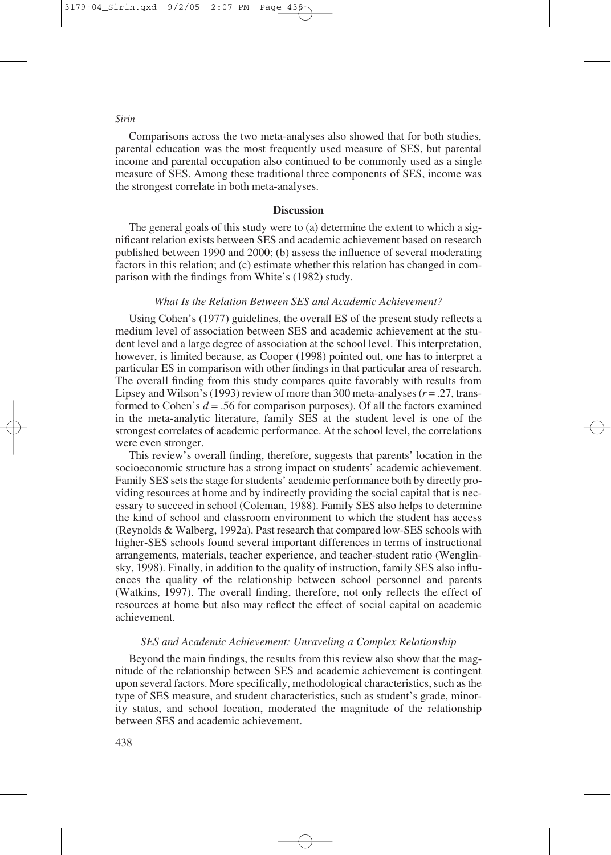Comparisons across the two meta-analyses also showed that for both studies, parental education was the most frequently used measure of SES, but parental income and parental occupation also continued to be commonly used as a single measure of SES. Among these traditional three components of SES, income was the strongest correlate in both meta-analyses.

#### **Discussion**

The general goals of this study were to (a) determine the extent to which a significant relation exists between SES and academic achievement based on research published between 1990 and 2000; (b) assess the influence of several moderating factors in this relation; and (c) estimate whether this relation has changed in comparison with the findings from White's (1982) study.

# *What Is the Relation Between SES and Academic Achievement?*

Using Cohen's (1977) guidelines, the overall ES of the present study reflects a medium level of association between SES and academic achievement at the student level and a large degree of association at the school level. This interpretation, however, is limited because, as Cooper (1998) pointed out, one has to interpret a particular ES in comparison with other findings in that particular area of research. The overall finding from this study compares quite favorably with results from Lipsey and Wilson's (1993) review of more than  $300$  meta-analyses  $(r = .27, \text{trans-}$ formed to Cohen's  $d = .56$  for comparison purposes). Of all the factors examined in the meta-analytic literature, family SES at the student level is one of the strongest correlates of academic performance. At the school level, the correlations were even stronger.

This review's overall finding, therefore, suggests that parents' location in the socioeconomic structure has a strong impact on students' academic achievement. Family SES sets the stage for students' academic performance both by directly providing resources at home and by indirectly providing the social capital that is necessary to succeed in school (Coleman, 1988). Family SES also helps to determine the kind of school and classroom environment to which the student has access (Reynolds & Walberg, 1992a). Past research that compared low-SES schools with higher-SES schools found several important differences in terms of instructional arrangements, materials, teacher experience, and teacher-student ratio (Wenglinsky, 1998). Finally, in addition to the quality of instruction, family SES also influences the quality of the relationship between school personnel and parents (Watkins, 1997). The overall finding, therefore, not only reflects the effect of resources at home but also may reflect the effect of social capital on academic achievement.

# *SES and Academic Achievement: Unraveling a Complex Relationship*

Beyond the main findings, the results from this review also show that the magnitude of the relationship between SES and academic achievement is contingent upon several factors. More specifically, methodological characteristics, such as the type of SES measure, and student characteristics, such as student's grade, minority status, and school location, moderated the magnitude of the relationship between SES and academic achievement.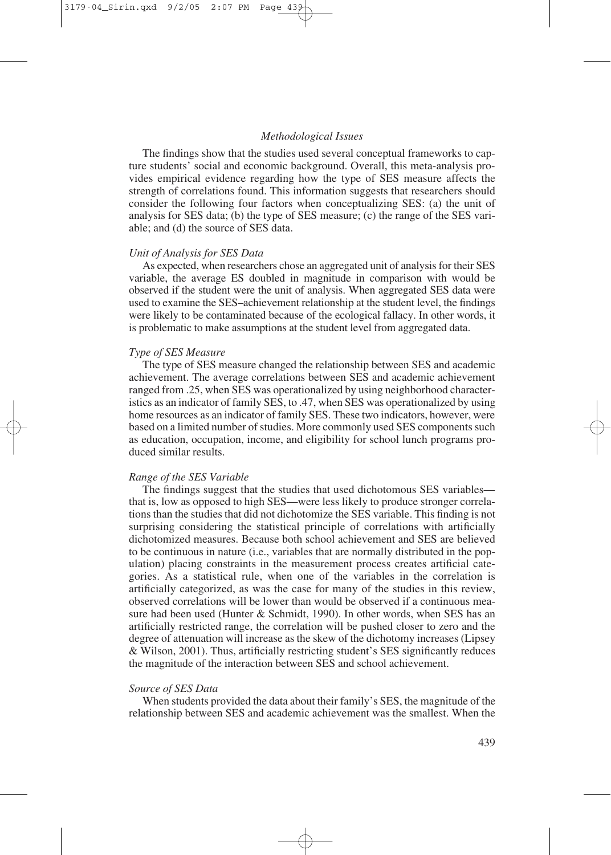#### *Methodological Issues*

The findings show that the studies used several conceptual frameworks to capture students' social and economic background. Overall, this meta-analysis provides empirical evidence regarding how the type of SES measure affects the strength of correlations found. This information suggests that researchers should consider the following four factors when conceptualizing SES: (a) the unit of analysis for SES data; (b) the type of SES measure; (c) the range of the SES variable; and (d) the source of SES data.

#### *Unit of Analysis for SES Data*

As expected, when researchers chose an aggregated unit of analysis for their SES variable, the average ES doubled in magnitude in comparison with would be observed if the student were the unit of analysis. When aggregated SES data were used to examine the SES–achievement relationship at the student level, the findings were likely to be contaminated because of the ecological fallacy. In other words, it is problematic to make assumptions at the student level from aggregated data.

#### *Type of SES Measure*

The type of SES measure changed the relationship between SES and academic achievement. The average correlations between SES and academic achievement ranged from .25, when SES was operationalized by using neighborhood characteristics as an indicator of family SES, to .47, when SES was operationalized by using home resources as an indicator of family SES. These two indicators, however, were based on a limited number of studies. More commonly used SES components such as education, occupation, income, and eligibility for school lunch programs produced similar results.

### *Range of the SES Variable*

The findings suggest that the studies that used dichotomous SES variables that is, low as opposed to high SES—were less likely to produce stronger correlations than the studies that did not dichotomize the SES variable. This finding is not surprising considering the statistical principle of correlations with artificially dichotomized measures. Because both school achievement and SES are believed to be continuous in nature (i.e., variables that are normally distributed in the population) placing constraints in the measurement process creates artificial categories. As a statistical rule, when one of the variables in the correlation is artificially categorized, as was the case for many of the studies in this review, observed correlations will be lower than would be observed if a continuous measure had been used (Hunter  $&$  Schmidt, 1990). In other words, when SES has an artificially restricted range, the correlation will be pushed closer to zero and the degree of attenuation will increase as the skew of the dichotomy increases (Lipsey & Wilson, 2001). Thus, artificially restricting student's SES significantly reduces the magnitude of the interaction between SES and school achievement.

#### *Source of SES Data*

When students provided the data about their family's SES, the magnitude of the relationship between SES and academic achievement was the smallest. When the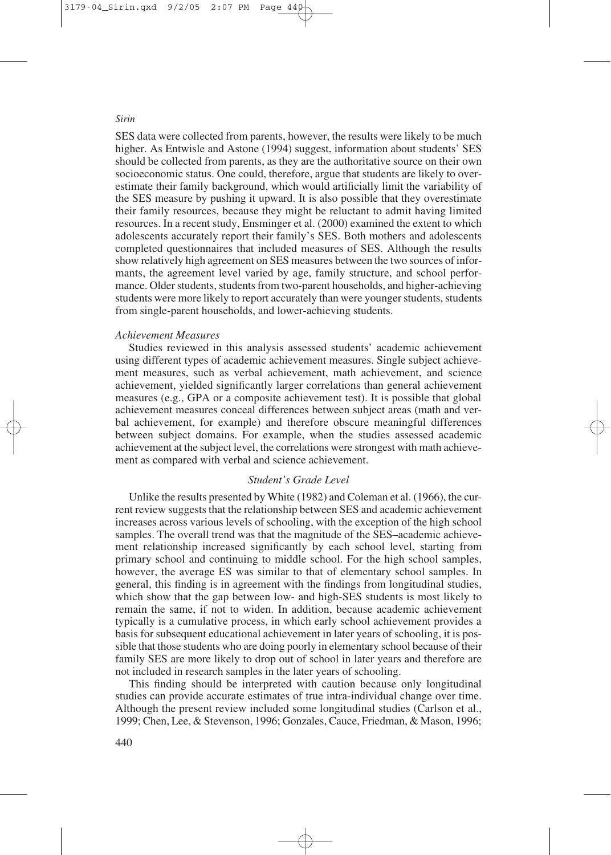SES data were collected from parents, however, the results were likely to be much higher. As Entwisle and Astone (1994) suggest, information about students' SES should be collected from parents, as they are the authoritative source on their own socioeconomic status. One could, therefore, argue that students are likely to overestimate their family background, which would artificially limit the variability of the SES measure by pushing it upward. It is also possible that they overestimate their family resources, because they might be reluctant to admit having limited resources. In a recent study, Ensminger et al. (2000) examined the extent to which adolescents accurately report their family's SES. Both mothers and adolescents completed questionnaires that included measures of SES. Although the results show relatively high agreement on SES measures between the two sources of informants, the agreement level varied by age, family structure, and school performance. Older students, students from two-parent households, and higher-achieving students were more likely to report accurately than were younger students, students from single-parent households, and lower-achieving students.

# *Achievement Measures*

Studies reviewed in this analysis assessed students' academic achievement using different types of academic achievement measures. Single subject achievement measures, such as verbal achievement, math achievement, and science achievement, yielded significantly larger correlations than general achievement measures (e.g., GPA or a composite achievement test). It is possible that global achievement measures conceal differences between subject areas (math and verbal achievement, for example) and therefore obscure meaningful differences between subject domains. For example, when the studies assessed academic achievement at the subject level, the correlations were strongest with math achievement as compared with verbal and science achievement.

# *Student's Grade Level*

Unlike the results presented by White (1982) and Coleman et al. (1966), the current review suggests that the relationship between SES and academic achievement increases across various levels of schooling, with the exception of the high school samples. The overall trend was that the magnitude of the SES–academic achievement relationship increased significantly by each school level, starting from primary school and continuing to middle school. For the high school samples, however, the average ES was similar to that of elementary school samples. In general, this finding is in agreement with the findings from longitudinal studies, which show that the gap between low- and high-SES students is most likely to remain the same, if not to widen. In addition, because academic achievement typically is a cumulative process, in which early school achievement provides a basis for subsequent educational achievement in later years of schooling, it is possible that those students who are doing poorly in elementary school because of their family SES are more likely to drop out of school in later years and therefore are not included in research samples in the later years of schooling.

This finding should be interpreted with caution because only longitudinal studies can provide accurate estimates of true intra-individual change over time. Although the present review included some longitudinal studies (Carlson et al., 1999; Chen, Lee, & Stevenson, 1996; Gonzales, Cauce, Friedman, & Mason, 1996;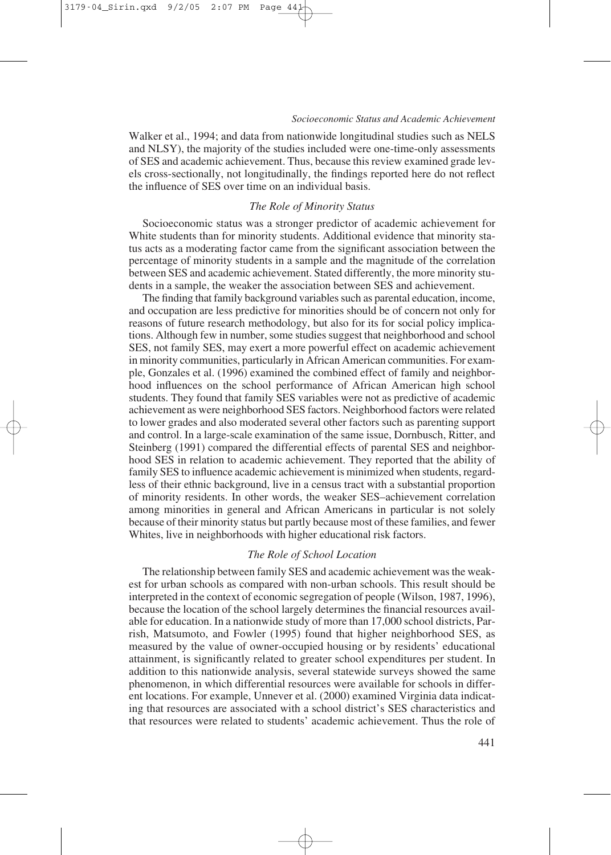Walker et al., 1994; and data from nationwide longitudinal studies such as NELS and NLSY), the majority of the studies included were one-time-only assessments of SES and academic achievement. Thus, because this review examined grade levels cross-sectionally, not longitudinally, the findings reported here do not reflect the influence of SES over time on an individual basis.

## *The Role of Minority Status*

Socioeconomic status was a stronger predictor of academic achievement for White students than for minority students. Additional evidence that minority status acts as a moderating factor came from the significant association between the percentage of minority students in a sample and the magnitude of the correlation between SES and academic achievement. Stated differently, the more minority students in a sample, the weaker the association between SES and achievement.

The finding that family background variables such as parental education, income, and occupation are less predictive for minorities should be of concern not only for reasons of future research methodology, but also for its for social policy implications. Although few in number, some studies suggest that neighborhood and school SES, not family SES, may exert a more powerful effect on academic achievement in minority communities, particularly in African American communities. For example, Gonzales et al. (1996) examined the combined effect of family and neighborhood influences on the school performance of African American high school students. They found that family SES variables were not as predictive of academic achievement as were neighborhood SES factors. Neighborhood factors were related to lower grades and also moderated several other factors such as parenting support and control. In a large-scale examination of the same issue, Dornbusch, Ritter, and Steinberg (1991) compared the differential effects of parental SES and neighborhood SES in relation to academic achievement. They reported that the ability of family SES to influence academic achievement is minimized when students, regardless of their ethnic background, live in a census tract with a substantial proportion of minority residents. In other words, the weaker SES–achievement correlation among minorities in general and African Americans in particular is not solely because of their minority status but partly because most of these families, and fewer Whites, live in neighborhoods with higher educational risk factors.

## *The Role of School Location*

The relationship between family SES and academic achievement was the weakest for urban schools as compared with non-urban schools. This result should be interpreted in the context of economic segregation of people (Wilson, 1987, 1996), because the location of the school largely determines the financial resources available for education. In a nationwide study of more than 17,000 school districts, Parrish, Matsumoto, and Fowler (1995) found that higher neighborhood SES, as measured by the value of owner-occupied housing or by residents' educational attainment, is significantly related to greater school expenditures per student. In addition to this nationwide analysis, several statewide surveys showed the same phenomenon, in which differential resources were available for schools in different locations. For example, Unnever et al. (2000) examined Virginia data indicating that resources are associated with a school district's SES characteristics and that resources were related to students' academic achievement. Thus the role of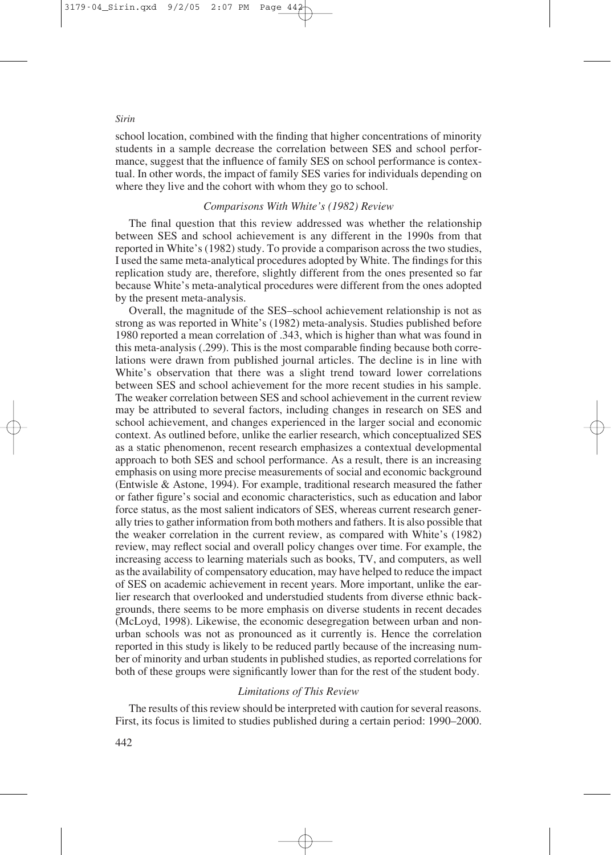school location, combined with the finding that higher concentrations of minority students in a sample decrease the correlation between SES and school performance, suggest that the influence of family SES on school performance is contextual. In other words, the impact of family SES varies for individuals depending on where they live and the cohort with whom they go to school.

#### *Comparisons With White's (1982) Review*

The final question that this review addressed was whether the relationship between SES and school achievement is any different in the 1990s from that reported in White's (1982) study. To provide a comparison across the two studies, I used the same meta-analytical procedures adopted by White. The findings for this replication study are, therefore, slightly different from the ones presented so far because White's meta-analytical procedures were different from the ones adopted by the present meta-analysis.

Overall, the magnitude of the SES–school achievement relationship is not as strong as was reported in White's (1982) meta-analysis. Studies published before 1980 reported a mean correlation of .343, which is higher than what was found in this meta-analysis (.299). This is the most comparable finding because both correlations were drawn from published journal articles. The decline is in line with White's observation that there was a slight trend toward lower correlations between SES and school achievement for the more recent studies in his sample. The weaker correlation between SES and school achievement in the current review may be attributed to several factors, including changes in research on SES and school achievement, and changes experienced in the larger social and economic context. As outlined before, unlike the earlier research, which conceptualized SES as a static phenomenon, recent research emphasizes a contextual developmental approach to both SES and school performance. As a result, there is an increasing emphasis on using more precise measurements of social and economic background (Entwisle & Astone, 1994). For example, traditional research measured the father or father figure's social and economic characteristics, such as education and labor force status, as the most salient indicators of SES, whereas current research generally tries to gather information from both mothers and fathers. It is also possible that the weaker correlation in the current review, as compared with White's (1982) review, may reflect social and overall policy changes over time. For example, the increasing access to learning materials such as books, TV, and computers, as well as the availability of compensatory education, may have helped to reduce the impact of SES on academic achievement in recent years. More important, unlike the earlier research that overlooked and understudied students from diverse ethnic backgrounds, there seems to be more emphasis on diverse students in recent decades (McLoyd, 1998). Likewise, the economic desegregation between urban and nonurban schools was not as pronounced as it currently is. Hence the correlation reported in this study is likely to be reduced partly because of the increasing number of minority and urban students in published studies, as reported correlations for both of these groups were significantly lower than for the rest of the student body.

# *Limitations of This Review*

The results of this review should be interpreted with caution for several reasons. First, its focus is limited to studies published during a certain period: 1990–2000.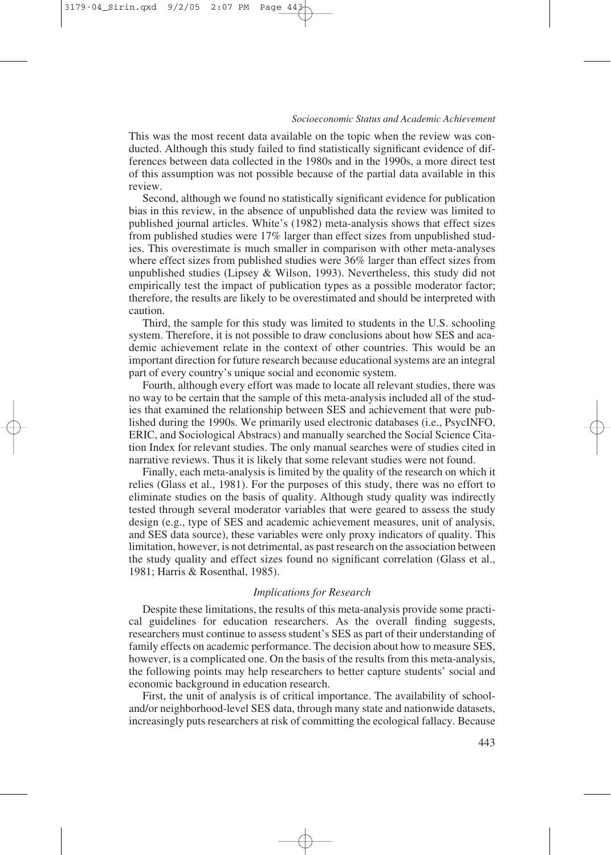This was the most recent data available on the topic when the review was conducted. Although this study failed to find statistically significant evidence of differences between data collected in the 1980s and in the 1990s, a more direct test of this assumption was not possible because of the partial data available in this review.

Second, although we found no statistically significant evidence for publication bias in this review, in the absence of unpublished data the review was limited to published journal articles. White's (1982) meta-analysis shows that effect sizes from published studies were 17% larger than effect sizes from unpublished studies. This overestimate is much smaller in comparison with other meta-analyses where effect sizes from published studies were 36% larger than effect sizes from unpublished studies (Lipsey  $\&$  Wilson, 1993). Nevertheless, this study did not empirically test the impact of publication types as a possible moderator factor; therefore, the results are likely to be overestimated and should be interpreted with caution.

Third, the sample for this study was limited to students in the U.S. schooling system. Therefore, it is not possible to draw conclusions about how SES and academic achievement relate in the context of other countries. This would be an important direction for future research because educational systems are an integral part of every country's unique social and economic system.

Fourth, although every effort was made to locate all relevant studies, there was no way to be certain that the sample of this meta-analysis included all of the studies that examined the relationship between SES and achievement that were published during the 1990s. We primarily used electronic databases (i.e., PsycINFO, ERIC, and Sociological Abstracs) and manually searched the Social Science Citation Index for relevant studies. The only manual searches were of studies cited in narrative reviews. Thus it is likely that some relevant studies were not found.

Finally, each meta-analysis is limited by the quality of the research on which it relies (Glass et al., 1981). For the purposes of this study, there was no effort to eliminate studies on the basis of quality. Although study quality was indirectly tested through several moderator variables that were geared to assess the study design (e.g., type of SES and academic achievement measures, unit of analysis, and SES data source), these variables were only proxy indicators of quality. This limitation, however, is not detrimental, as past research on the association between the study quality and effect sizes found no significant correlation (Glass et al., 1981; Harris & Rosenthal, 1985).

# *Implications for Research*

Despite these limitations, the results of this meta-analysis provide some practical guidelines for education researchers. As the overall finding suggests, researchers must continue to assess student's SES as part of their understanding of family effects on academic performance. The decision about how to measure SES, however, is a complicated one. On the basis of the results from this meta-analysis, the following points may help researchers to better capture students' social and economic background in education research.

First, the unit of analysis is of critical importance. The availability of schooland/or neighborhood-level SES data, through many state and nationwide datasets, increasingly puts researchers at risk of committing the ecological fallacy. Because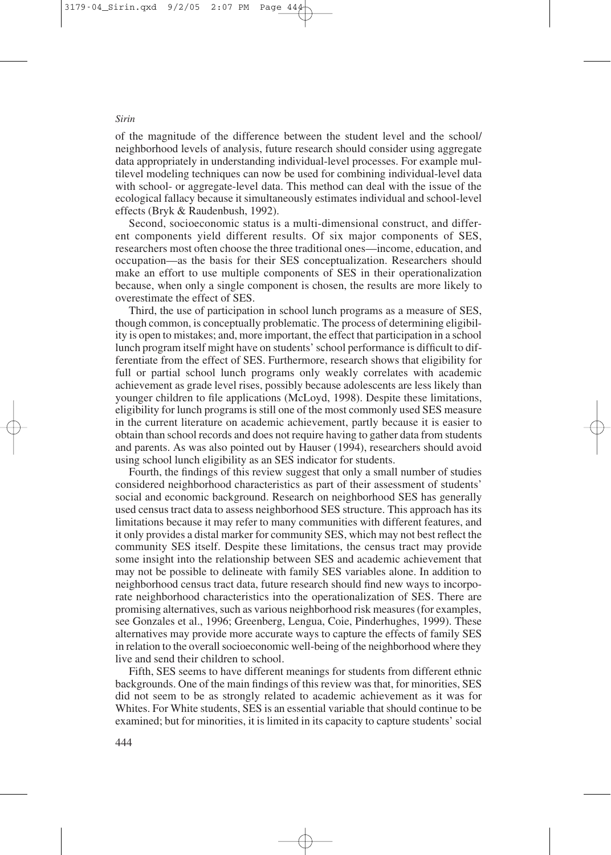of the magnitude of the difference between the student level and the school/ neighborhood levels of analysis, future research should consider using aggregate data appropriately in understanding individual-level processes. For example multilevel modeling techniques can now be used for combining individual-level data with school- or aggregate-level data. This method can deal with the issue of the ecological fallacy because it simultaneously estimates individual and school-level effects (Bryk & Raudenbush, 1992).

Second, socioeconomic status is a multi-dimensional construct, and different components yield different results. Of six major components of SES, researchers most often choose the three traditional ones—income, education, and occupation—as the basis for their SES conceptualization. Researchers should make an effort to use multiple components of SES in their operationalization because, when only a single component is chosen, the results are more likely to overestimate the effect of SES.

Third, the use of participation in school lunch programs as a measure of SES, though common, is conceptually problematic. The process of determining eligibility is open to mistakes; and, more important, the effect that participation in a school lunch program itself might have on students' school performance is difficult to differentiate from the effect of SES. Furthermore, research shows that eligibility for full or partial school lunch programs only weakly correlates with academic achievement as grade level rises, possibly because adolescents are less likely than younger children to file applications (McLoyd, 1998). Despite these limitations, eligibility for lunch programs is still one of the most commonly used SES measure in the current literature on academic achievement, partly because it is easier to obtain than school records and does not require having to gather data from students and parents. As was also pointed out by Hauser (1994), researchers should avoid using school lunch eligibility as an SES indicator for students.

Fourth, the findings of this review suggest that only a small number of studies considered neighborhood characteristics as part of their assessment of students' social and economic background. Research on neighborhood SES has generally used census tract data to assess neighborhood SES structure. This approach has its limitations because it may refer to many communities with different features, and it only provides a distal marker for community SES, which may not best reflect the community SES itself. Despite these limitations, the census tract may provide some insight into the relationship between SES and academic achievement that may not be possible to delineate with family SES variables alone. In addition to neighborhood census tract data, future research should find new ways to incorporate neighborhood characteristics into the operationalization of SES. There are promising alternatives, such as various neighborhood risk measures (for examples, see Gonzales et al., 1996; Greenberg, Lengua, Coie, Pinderhughes, 1999). These alternatives may provide more accurate ways to capture the effects of family SES in relation to the overall socioeconomic well-being of the neighborhood where they live and send their children to school.

Fifth, SES seems to have different meanings for students from different ethnic backgrounds. One of the main findings of this review was that, for minorities, SES did not seem to be as strongly related to academic achievement as it was for Whites. For White students, SES is an essential variable that should continue to be examined; but for minorities, it is limited in its capacity to capture students' social

#### *Sirin*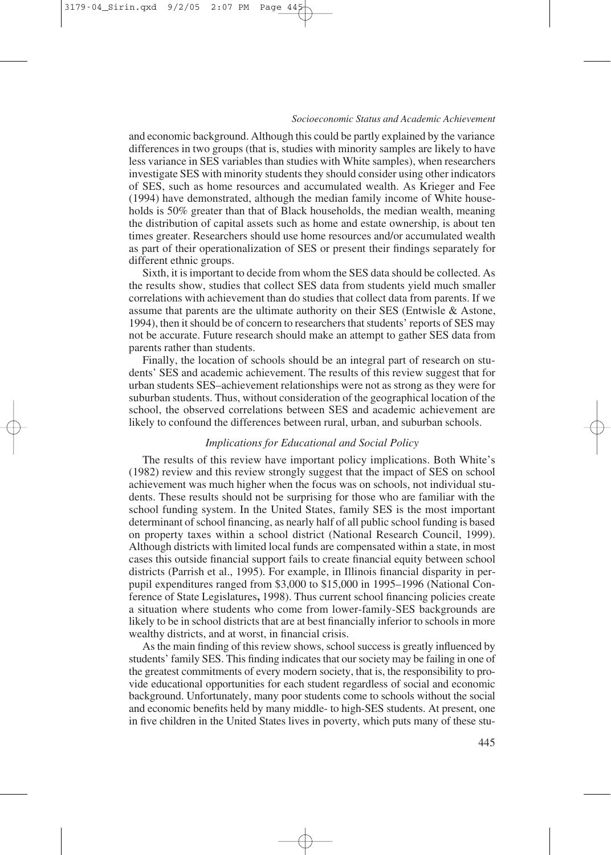and economic background. Although this could be partly explained by the variance differences in two groups (that is, studies with minority samples are likely to have less variance in SES variables than studies with White samples), when researchers investigate SES with minority students they should consider using other indicators of SES, such as home resources and accumulated wealth. As Krieger and Fee (1994) have demonstrated, although the median family income of White households is 50% greater than that of Black households, the median wealth, meaning the distribution of capital assets such as home and estate ownership, is about ten times greater. Researchers should use home resources and/or accumulated wealth as part of their operationalization of SES or present their findings separately for different ethnic groups.

Sixth, it is important to decide from whom the SES data should be collected. As the results show, studies that collect SES data from students yield much smaller correlations with achievement than do studies that collect data from parents. If we assume that parents are the ultimate authority on their SES (Entwisle & Astone, 1994), then it should be of concern to researchers that students' reports of SES may not be accurate. Future research should make an attempt to gather SES data from parents rather than students.

Finally, the location of schools should be an integral part of research on students' SES and academic achievement. The results of this review suggest that for urban students SES–achievement relationships were not as strong as they were for suburban students. Thus, without consideration of the geographical location of the school, the observed correlations between SES and academic achievement are likely to confound the differences between rural, urban, and suburban schools.

## *Implications for Educational and Social Policy*

The results of this review have important policy implications. Both White's (1982) review and this review strongly suggest that the impact of SES on school achievement was much higher when the focus was on schools, not individual students. These results should not be surprising for those who are familiar with the school funding system. In the United States, family SES is the most important determinant of school financing, as nearly half of all public school funding is based on property taxes within a school district (National Research Council, 1999). Although districts with limited local funds are compensated within a state, in most cases this outside financial support fails to create financial equity between school districts (Parrish et al., 1995). For example, in Illinois financial disparity in perpupil expenditures ranged from \$3,000 to \$15,000 in 1995–1996 (National Conference of State Legislatures**,** 1998). Thus current school financing policies create a situation where students who come from lower-family-SES backgrounds are likely to be in school districts that are at best financially inferior to schools in more wealthy districts, and at worst, in financial crisis.

As the main finding of this review shows, school success is greatly influenced by students' family SES. This finding indicates that our society may be failing in one of the greatest commitments of every modern society, that is, the responsibility to provide educational opportunities for each student regardless of social and economic background. Unfortunately, many poor students come to schools without the social and economic benefits held by many middle- to high-SES students. At present, one in five children in the United States lives in poverty, which puts many of these stu-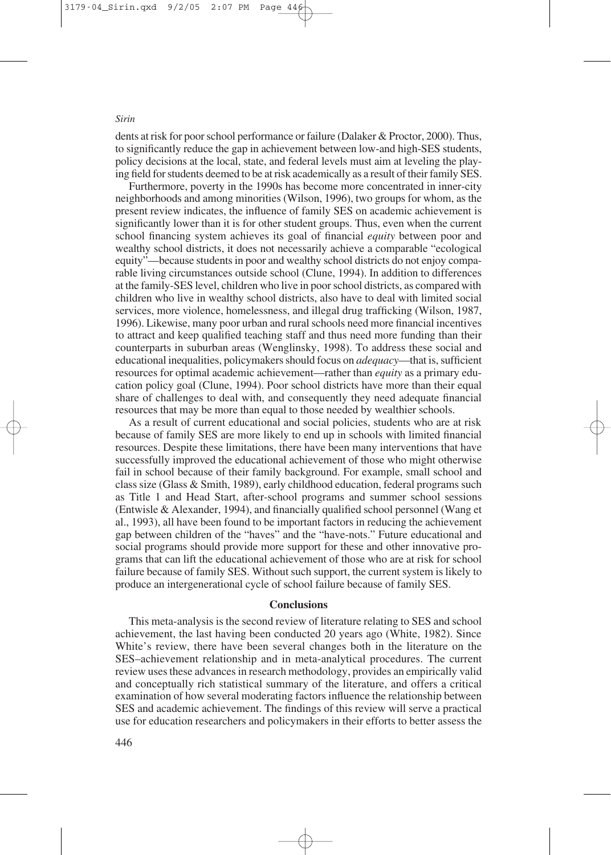dents at risk for poor school performance or failure (Dalaker & Proctor, 2000). Thus, to significantly reduce the gap in achievement between low-and high-SES students, policy decisions at the local, state, and federal levels must aim at leveling the playing field for students deemed to be at risk academically as a result of their family SES.

Furthermore, poverty in the 1990s has become more concentrated in inner-city neighborhoods and among minorities (Wilson, 1996), two groups for whom, as the present review indicates, the influence of family SES on academic achievement is significantly lower than it is for other student groups. Thus, even when the current school financing system achieves its goal of financial *equity* between poor and wealthy school districts, it does not necessarily achieve a comparable "ecological equity"—because students in poor and wealthy school districts do not enjoy comparable living circumstances outside school (Clune, 1994). In addition to differences at the family-SES level, children who live in poor school districts, as compared with children who live in wealthy school districts, also have to deal with limited social services, more violence, homelessness, and illegal drug trafficking (Wilson, 1987, 1996). Likewise, many poor urban and rural schools need more financial incentives to attract and keep qualified teaching staff and thus need more funding than their counterparts in suburban areas (Wenglinsky, 1998). To address these social and educational inequalities, policymakers should focus on *adequacy*—that is, sufficient resources for optimal academic achievement—rather than *equity* as a primary education policy goal (Clune, 1994). Poor school districts have more than their equal share of challenges to deal with, and consequently they need adequate financial resources that may be more than equal to those needed by wealthier schools.

As a result of current educational and social policies, students who are at risk because of family SES are more likely to end up in schools with limited financial resources. Despite these limitations, there have been many interventions that have successfully improved the educational achievement of those who might otherwise fail in school because of their family background. For example, small school and class size (Glass & Smith, 1989), early childhood education, federal programs such as Title 1 and Head Start, after-school programs and summer school sessions (Entwisle & Alexander, 1994), and financially qualified school personnel (Wang et al., 1993), all have been found to be important factors in reducing the achievement gap between children of the "haves" and the "have-nots." Future educational and social programs should provide more support for these and other innovative programs that can lift the educational achievement of those who are at risk for school failure because of family SES. Without such support, the current system is likely to produce an intergenerational cycle of school failure because of family SES.

#### **Conclusions**

This meta-analysis is the second review of literature relating to SES and school achievement, the last having been conducted 20 years ago (White, 1982). Since White's review, there have been several changes both in the literature on the SES–achievement relationship and in meta-analytical procedures. The current review uses these advances in research methodology, provides an empirically valid and conceptually rich statistical summary of the literature, and offers a critical examination of how several moderating factors influence the relationship between SES and academic achievement. The findings of this review will serve a practical use for education researchers and policymakers in their efforts to better assess the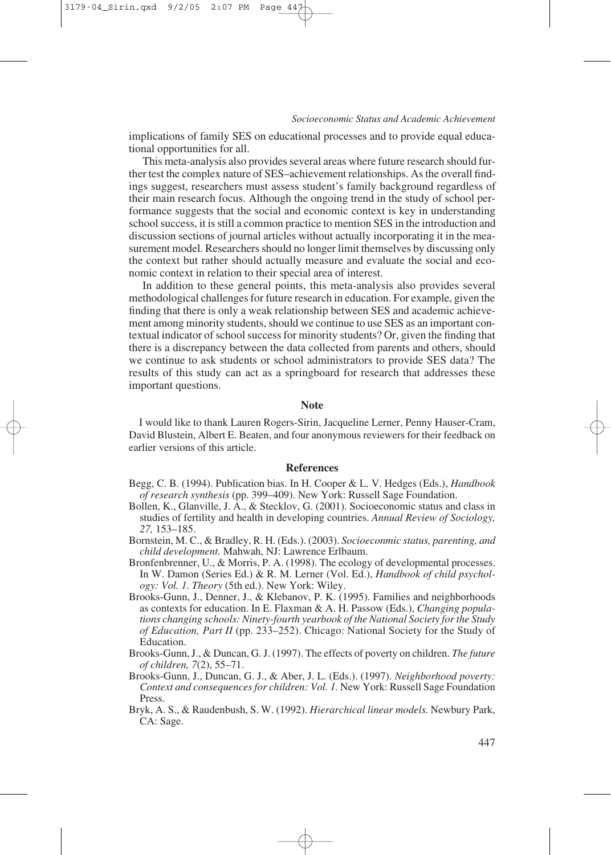implications of family SES on educational processes and to provide equal educational opportunities for all.

This meta-analysis also provides several areas where future research should further test the complex nature of SES–achievement relationships. As the overall findings suggest, researchers must assess student's family background regardless of their main research focus. Although the ongoing trend in the study of school performance suggests that the social and economic context is key in understanding school success, it is still a common practice to mention SES in the introduction and discussion sections of journal articles without actually incorporating it in the measurement model. Researchers should no longer limit themselves by discussing only the context but rather should actually measure and evaluate the social and economic context in relation to their special area of interest.

In addition to these general points, this meta-analysis also provides several methodological challenges for future research in education. For example, given the finding that there is only a weak relationship between SES and academic achievement among minority students, should we continue to use SES as an important contextual indicator of school success for minority students? Or, given the finding that there is a discrepancy between the data collected from parents and others, should we continue to ask students or school administrators to provide SES data? The results of this study can act as a springboard for research that addresses these important questions.

## **Note**

I would like to thank Lauren Rogers-Sirin, Jacqueline Lerner, Penny Hauser-Cram, David Blustein, Albert E. Beaten, and four anonymous reviewers for their feedback on earlier versions of this article.

#### **References**

- Begg, C. B. (1994). Publication bias. In H. Cooper & L. V. Hedges (Eds.), *Handbook of research synthesis* (pp. 399–409). New York: Russell Sage Foundation.
- Bollen, K., Glanville, J. A., & Stecklov, G. (2001). Socioeconomic status and class in studies of fertility and health in developing countries. *Annual Review of Sociology, 27,* 153–185.
- Bornstein, M. C., & Bradley, R. H. (Eds.). (2003). *Socioeconmic status, parenting, and child development.* Mahwah, NJ: Lawrence Erlbaum.
- Bronfenbrenner, U., & Morris, P. A. (1998). The ecology of developmental processes. In W. Damon (Series Ed.) & R. M. Lerner (Vol. Ed.), *Handbook of child psychology: Vol. 1. Theory* (5th ed.). New York: Wiley.
- Brooks-Gunn, J., Denner, J., & Klebanov, P. K. (1995). Families and neighborhoods as contexts for education. In E. Flaxman & A. H. Passow (Eds.), *Changing populations changing schools: Ninety-fourth yearbook of the National Society for the Study of Education, Part II* (pp. 233–252). Chicago: National Society for the Study of Education.
- Brooks-Gunn, J., & Duncan, G. J. (1997). The effects of poverty on children. *The future of children, 7*(2), 55–71.
- Brooks-Gunn, J., Duncan, G. J., & Aber, J. L. (Eds.). (1997). *Neighborhood poverty: Context and consequences for children: Vol. 1.* New York: Russell Sage Foundation Press.
- Bryk, A. S., & Raudenbush, S. W. (1992). *Hierarchical linear models.* Newbury Park, CA: Sage.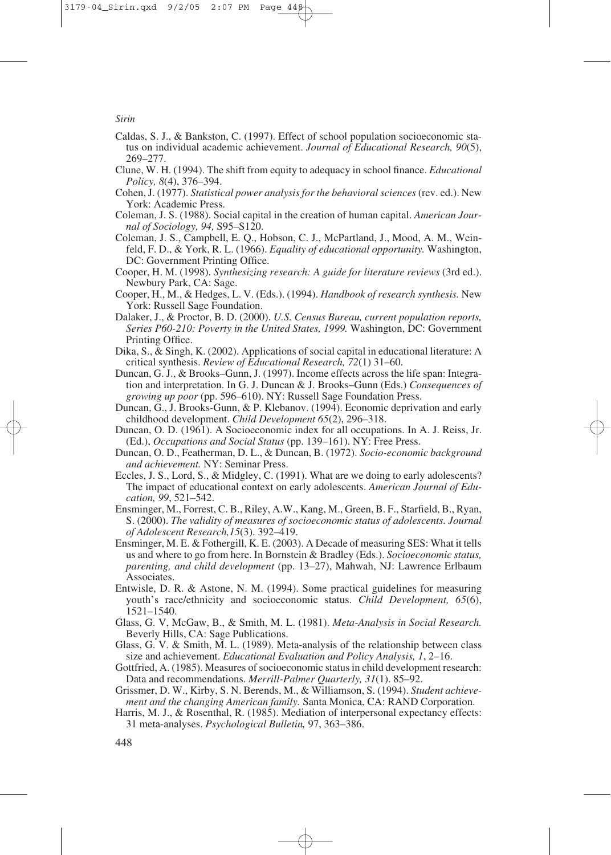- Caldas, S. J., & Bankston, C. (1997). Effect of school population socioeconomic status on individual academic achievement. *Journal of Educational Research, 90*(5), 269–277.
- Clune, W. H. (1994). The shift from equity to adequacy in school finance. *Educational Policy, 8*(4), 376–394.
- Cohen, J. (1977). *Statistical power analysis for the behavioral sciences* (rev. ed.). New York: Academic Press.
- Coleman, J. S. (1988). Social capital in the creation of human capital. *American Journal of Sociology, 94,* S95–S120.
- Coleman, J. S., Campbell, E. Q., Hobson, C. J., McPartland, J., Mood, A. M., Weinfeld, F. D., & York, R. L. (1966). *Equality of educational opportunity.* Washington, DC: Government Printing Office.
- Cooper, H. M. (1998). *Synthesizing research: A guide for literature reviews* (3rd ed.). Newbury Park, CA: Sage.
- Cooper, H., M., & Hedges, L. V. (Eds.). (1994). *Handbook of research synthesis.* New York: Russell Sage Foundation.
- Dalaker, J., & Proctor, B. D. (2000). *U.S. Census Bureau, current population reports, Series P60-210: Poverty in the United States, 1999.* Washington, DC: Government Printing Office.
- Dika, S., & Singh, K. (2002). Applications of social capital in educational literature: A critical synthesis. *Review of Educational Research, 72*(1) 31–60.
- Duncan, G. J., & Brooks–Gunn, J. (1997). Income effects across the life span: Integration and interpretation. In G. J. Duncan & J. Brooks–Gunn (Eds.) *Consequences of growing up poor* (pp. 596–610). NY: Russell Sage Foundation Press.
- Duncan, G., J. Brooks-Gunn, & P. Klebanov. (1994). Economic deprivation and early childhood development. *Child Development 65*(2), 296–318.
- Duncan, O. D. (1961). A Socioeconomic index for all occupations. In A. J. Reiss, Jr. (Ed.), *Occupations and Social Status* (pp. 139–161). NY: Free Press.
- Duncan, O. D., Featherman, D. L., & Duncan, B. (1972). *Socio-economic background and achievement.* NY: Seminar Press.
- Eccles, J. S., Lord, S., & Midgley, C. (1991). What are we doing to early adolescents? The impact of educational context on early adolescents. *American Journal of Education, 99*, 521–542.
- Ensminger, M., Forrest, C. B., Riley, A.W., Kang, M., Green, B. F., Starfield, B., Ryan, S. (2000). *The validity of measures of socioeconomic status of adolescents. Journal of Adolescent Research,15*(3). 392–419.
- Ensminger, M. E. & Fothergill, K. E. (2003). A Decade of measuring SES: What it tells us and where to go from here. In Bornstein & Bradley (Eds.). *Socioeconomic status, parenting, and child development* (pp. 13–27), Mahwah, NJ: Lawrence Erlbaum Associates.
- Entwisle, D. R. & Astone, N. M. (1994). Some practical guidelines for measuring youth's race/ethnicity and socioeconomic status. *Child Development, 65*(6), 1521–1540.
- Glass, G. V, McGaw, B., & Smith, M. L. (1981). *Meta-Analysis in Social Research.* Beverly Hills, CA: Sage Publications.
- Glass, G. V. & Smith, M. L. (1989). Meta-analysis of the relationship between class size and achievement. *Educational Evaluation and Policy Analysis, 1*, 2–16.
- Gottfried, A. (1985). Measures of socioeconomic status in child development research: Data and recommendations. *Merrill-Palmer Quarterly, 31*(1). 85–92.
- Grissmer, D. W., Kirby, S. N. Berends, M., & Williamson, S. (1994). *Student achievement and the changing American family.* Santa Monica, CA: RAND Corporation.
- Harris, M. J., & Rosenthal, R. (1985). Mediation of interpersonal expectancy effects: 31 meta-analyses. *Psychological Bulletin,* 97, 363–386.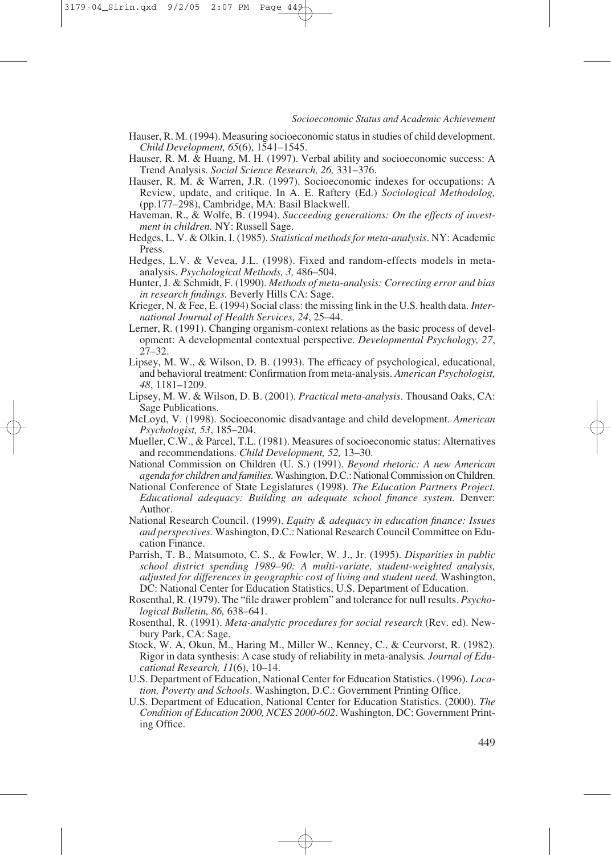- Hauser, R. M. (1994). Measuring socioeconomic status in studies of child development. *Child Development, 65*(6), 1541–1545.
- Hauser, R. M. & Huang, M. H. (1997). Verbal ability and socioeconomic success: A Trend Analysis. *Social Science Research, 26,* 331–376.
- Hauser, R. M. & Warren, J.R. (1997). Socioeconomic indexes for occupations: A Review, update, and critique. In A. E. Raftery (Ed.) *Sociological Methodolog,* (pp.177–298), Cambridge, MA: Basil Blackwell.
- Haveman, R., & Wolfe, B. (1994). *Succeeding generations: On the effects of investment in children.* NY: Russell Sage.
- Hedges, L. V. & Olkin, I. (1985). *Statistical methods for meta-analysis*. NY: Academic Press.
- Hedges, L.V. & Vevea, J.L. (1998). Fixed and random-effects models in metaanalysis. *Psychological Methods, 3,* 486–504.
- Hunter, J. & Schmidt, F. (1990). *Methods of meta-analysis: Correcting error and bias in research findings.* Beverly Hills CA: Sage.
- Krieger, N. & Fee, E. (1994) Social class: the missing link in the U.S. health data. *International Journal of Health Services, 24*, 25–44.
- Lerner, R. (1991). Changing organism-context relations as the basic process of development: A developmental contextual perspective. *Developmental Psychology, 27*,  $27 - 32$ .
- Lipsey, M. W., & Wilson, D. B. (1993). The efficacy of psychological, educational, and behavioral treatment: Confirmation from meta-analysis. *American Psychologist, 48*, 1181–1209.
- Lipsey, M. W. & Wilson, D. B. (2001). *Practical meta-analysis*. Thousand Oaks, CA: Sage Publications.
- McLoyd, V. (1998). Socioeconomic disadvantage and child development. *American Psychologist, 53*, 185–204.
- Mueller, C.W., & Parcel, T.L. (1981). Measures of socioeconomic status: Alternatives and recommendations. *Child Development, 52,* 13–30.
- National Commission on Children (U. S.) (1991). *Beyond rhetoric: A new American agenda for children and families.*Washington, D.C.: National Commission on Children.
- National Conference of State Legislatures (1998). *The Education Partners Project. Educational adequacy: Building an adequate school finance system.* Denver: Author.
- National Research Council. (1999). *Equity & adequacy in education finance: Issues and perspectives.* Washington, D.C.: National Research Council Committee on Education Finance.
- Parrish, T. B., Matsumoto, C. S., & Fowler, W. J., Jr. (1995). *Disparities in public school district spending 1989–90: A multi-variate, student-weighted analysis, adjusted for differences in geographic cost of living and student need.* Washington, DC: National Center for Education Statistics, U.S. Department of Education.
- Rosenthal, R. (1979). The "file drawer problem" and tolerance for null results. *Psychological Bulletin, 86,* 638–641.
- Rosenthal, R. (1991). *Meta-analytic procedures for social research* (Rev. ed). Newbury Park, CA: Sage.
- Stock, W. A, Okun, M., Haring M., Miller W., Kenney, C., & Ceurvorst, R. (1982). Rigor in data synthesis: A case study of reliability in meta-analysis*. Journal of Educational Research, 11*(6), 10–14.
- U.S. Department of Education, National Center for Education Statistics. (1996). *Location, Poverty and Schools*. Washington, D.C.: Government Printing Office.
- U.S. Department of Education, National Center for Education Statistics. (2000). *The Condition of Education 2000, NCES 2000-602*. Washington, DC: Government Printing Office.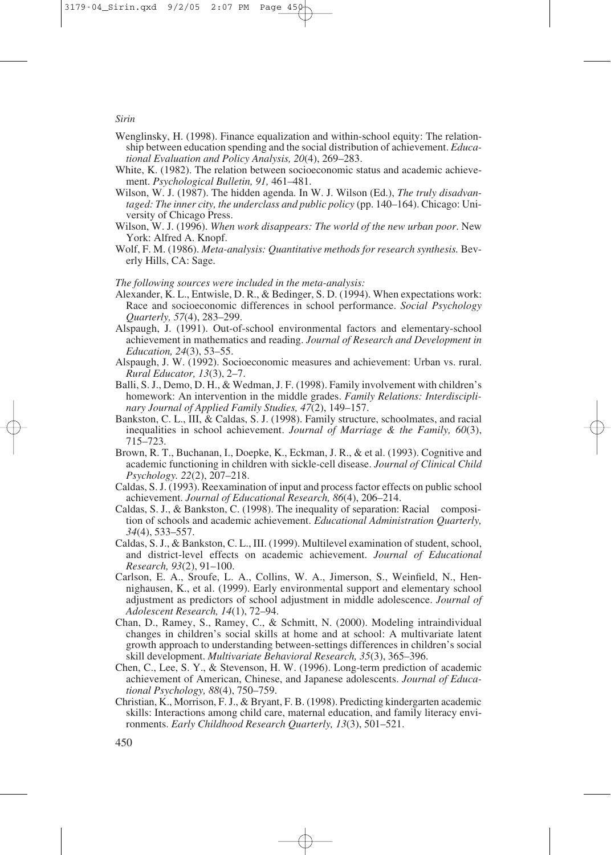- Wenglinsky, H. (1998). Finance equalization and within-school equity: The relationship between education spending and the social distribution of achievement. *Educational Evaluation and Policy Analysis, 20*(4), 269–283.
- White, K. (1982). The relation between socioeconomic status and academic achievement. *Psychological Bulletin, 91,* 461–481.
- Wilson, W. J. (1987). The hidden agenda. In W. J. Wilson (Ed.), *The truly disadvantaged: The inner city, the underclass and public policy* (pp. 140–164). Chicago: University of Chicago Press.
- Wilson, W. J. (1996). *When work disappears: The world of the new urban poor*. New York: Alfred A. Knopf.
- Wolf, F. M. (1986). *Meta-analysis: Quantitative methods for research synthesis*. Beverly Hills, CA: Sage.

#### *The following sources were included in the meta-analysis:*

- Alexander, K. L., Entwisle, D. R., & Bedinger, S. D. (1994). When expectations work: Race and socioeconomic differences in school performance. *Social Psychology Quarterly, 57*(4), 283–299.
- Alspaugh, J. (1991). Out-of-school environmental factors and elementary-school achievement in mathematics and reading. *Journal of Research and Development in Education, 24*(3), 53–55.
- Alspaugh, J. W. (1992). Socioeconomic measures and achievement: Urban vs. rural. *Rural Educator, 13*(3), 2–7.
- Balli, S. J., Demo, D. H., & Wedman, J. F. (1998). Family involvement with children's homework: An intervention in the middle grades. *Family Relations: Interdisciplinary Journal of Applied Family Studies, 47*(2), 149–157.
- Bankston, C. L., III, & Caldas, S. J. (1998). Family structure, schoolmates, and racial inequalities in school achievement. *Journal of Marriage & the Family, 60*(3), 715–723.
- Brown, R. T., Buchanan, I., Doepke, K., Eckman, J. R., & et al. (1993). Cognitive and academic functioning in children with sickle-cell disease. *Journal of Clinical Child Psychology. 22*(2), 207–218.
- Caldas, S. J. (1993). Reexamination of input and process factor effects on public school achievement. *Journal of Educational Research, 86*(4), 206–214.
- Caldas, S. J., & Bankston, C. (1998). The inequality of separation: Racial composition of schools and academic achievement. *Educational Administration Quarterly, 34*(4), 533–557.
- Caldas, S. J., & Bankston, C. L., III. (1999). Multilevel examination of student, school, and district-level effects on academic achievement. *Journal of Educational Research, 93*(2), 91–100.
- Carlson, E. A., Sroufe, L. A., Collins, W. A., Jimerson, S., Weinfield, N., Hennighausen, K., et al. (1999). Early environmental support and elementary school adjustment as predictors of school adjustment in middle adolescence. *Journal of Adolescent Research, 14*(1), 72–94.
- Chan, D., Ramey, S., Ramey, C., & Schmitt, N. (2000). Modeling intraindividual changes in children's social skills at home and at school: A multivariate latent growth approach to understanding between-settings differences in children's social skill development. *Multivariate Behavioral Research, 35*(3), 365–396.
- Chen, C., Lee, S. Y., & Stevenson, H. W. (1996). Long-term prediction of academic achievement of American, Chinese, and Japanese adolescents. *Journal of Educational Psychology, 88*(4), 750–759.
- Christian, K., Morrison, F. J., & Bryant, F. B. (1998). Predicting kindergarten academic skills: Interactions among child care, maternal education, and family literacy environments. *Early Childhood Research Quarterly, 13*(3), 501–521.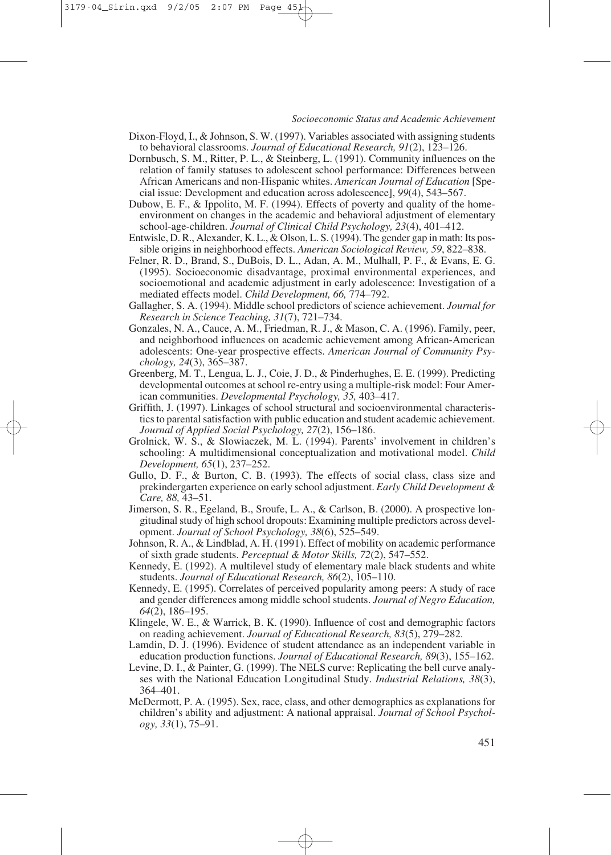- Dixon-Floyd, I., & Johnson, S. W. (1997). Variables associated with assigning students to behavioral classrooms. *Journal of Educational Research, 91*(2), 123–126.
- Dornbusch, S. M., Ritter, P. L., & Steinberg, L. (1991). Community influences on the relation of family statuses to adolescent school performance: Differences between African Americans and non-Hispanic whites. *American Journal of Education* [Special issue: Development and education across adolescence], *99*(4), 543–567.
- Dubow, E. F., & Ippolito, M. F. (1994). Effects of poverty and quality of the homeenvironment on changes in the academic and behavioral adjustment of elementary school-age-children. *Journal of Clinical Child Psychology, 23*(4), 401–412.
- Entwisle, D. R., Alexander, K. L., & Olson, L. S. (1994). The gender gap in math: Its possible origins in neighborhood effects. *American Sociological Review, 59*, 822–838.
- Felner, R. D., Brand, S., DuBois, D. L., Adan, A. M., Mulhall, P. F., & Evans, E. G. (1995). Socioeconomic disadvantage, proximal environmental experiences, and socioemotional and academic adjustment in early adolescence: Investigation of a mediated effects model. *Child Development, 66,* 774–792.
- Gallagher, S. A. (1994). Middle school predictors of science achievement. *Journal for Research in Science Teaching, 31*(7), 721–734.
- Gonzales, N. A., Cauce, A. M., Friedman, R. J., & Mason, C. A. (1996). Family, peer, and neighborhood influences on academic achievement among African-American adolescents: One-year prospective effects. *American Journal of Community Psychology, 24*(3), 365–387.
- Greenberg, M. T., Lengua, L. J., Coie, J. D., & Pinderhughes, E. E. (1999). Predicting developmental outcomes at school re-entry using a multiple-risk model: Four American communities. *Developmental Psychology, 35,* 403–417.
- Griffith, J. (1997). Linkages of school structural and socioenvironmental characteristics to parental satisfaction with public education and student academic achievement. *Journal of Applied Social Psychology, 27*(2), 156–186.
- Grolnick, W. S., & Slowiaczek, M. L. (1994). Parents' involvement in children's schooling: A multidimensional conceptualization and motivational model. *Child Development, 65*(1), 237–252.
- Gullo, D. F., & Burton, C. B. (1993). The effects of social class, class size and prekindergarten experience on early school adjustment. *Early Child Development & Care, 88,* 43–51.
- Jimerson, S. R., Egeland, B., Sroufe, L. A., & Carlson, B. (2000). A prospective longitudinal study of high school dropouts: Examining multiple predictors across development. *Journal of School Psychology, 38*(6), 525–549.
- Johnson, R. A., & Lindblad, A. H. (1991). Effect of mobility on academic performance of sixth grade students. *Perceptual & Motor Skills, 72*(2), 547–552.
- Kennedy, E. (1992). A multilevel study of elementary male black students and white students. *Journal of Educational Research, 86*(2), 105–110.
- Kennedy, E. (1995). Correlates of perceived popularity among peers: A study of race and gender differences among middle school students. *Journal of Negro Education, 64*(2), 186–195.
- Klingele, W. E., & Warrick, B. K. (1990). Influence of cost and demographic factors on reading achievement. *Journal of Educational Research, 83*(5), 279–282.
- Lamdin, D. J. (1996). Evidence of student attendance as an independent variable in education production functions. *Journal of Educational Research, 89*(3), 155–162.
- Levine, D. I., & Painter, G. (1999). The NELS curve: Replicating the bell curve analyses with the National Education Longitudinal Study. *Industrial Relations, 38*(3), 364–401.
- McDermott, P. A. (1995). Sex, race, class, and other demographics as explanations for children's ability and adjustment: A national appraisal. *Journal of School Psychology, 33*(1), 75–91.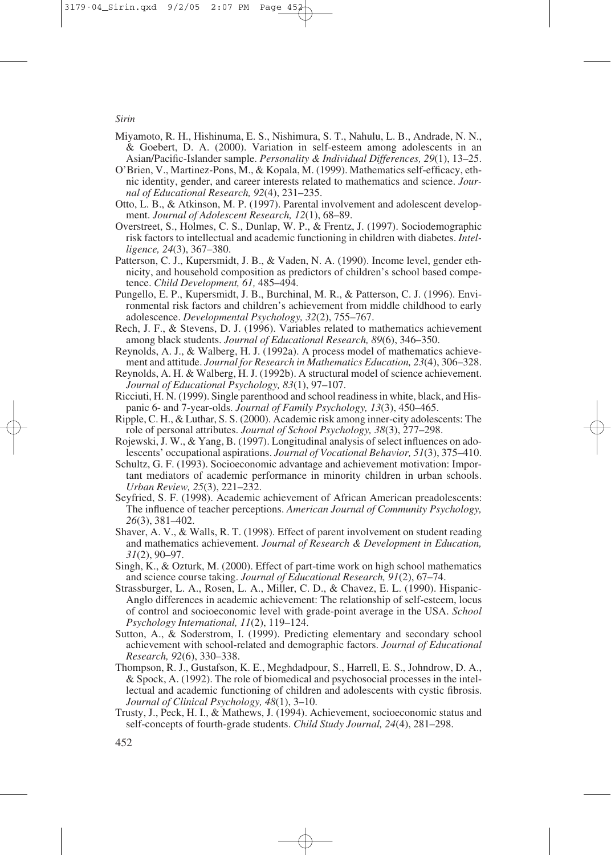- Miyamoto, R. H., Hishinuma, E. S., Nishimura, S. T., Nahulu, L. B., Andrade, N. N., & Goebert, D. A. (2000). Variation in self-esteem among adolescents in an Asian/Pacific-Islander sample. *Personality & Individual Differences, 29*(1), 13–25.
- O'Brien, V., Martinez-Pons, M., & Kopala, M. (1999). Mathematics self-efficacy, ethnic identity, gender, and career interests related to mathematics and science. *Journal of Educational Research, 92*(4), 231–235.
- Otto, L. B., & Atkinson, M. P. (1997). Parental involvement and adolescent development. *Journal of Adolescent Research, 12*(1), 68–89.
- Overstreet, S., Holmes, C. S., Dunlap, W. P., & Frentz, J. (1997). Sociodemographic risk factors to intellectual and academic functioning in children with diabetes. *Intelligence, 24*(3), 367–380.
- Patterson, C. J., Kupersmidt, J. B., & Vaden, N. A. (1990). Income level, gender ethnicity, and household composition as predictors of children's school based competence. *Child Development, 61,* 485–494.
- Pungello, E. P., Kupersmidt, J. B., Burchinal, M. R., & Patterson, C. J. (1996). Environmental risk factors and children's achievement from middle childhood to early adolescence. *Developmental Psychology, 32*(2), 755–767.
- Rech, J. F., & Stevens, D. J. (1996). Variables related to mathematics achievement among black students. *Journal of Educational Research, 89*(6), 346–350.
- Reynolds, A. J., & Walberg, H. J. (1992a). A process model of mathematics achievement and attitude. *Journal for Research in Mathematics Education, 23*(4), 306–328.
- Reynolds, A. H. & Walberg, H. J. (1992b). A structural model of science achievement. *Journal of Educational Psychology, 83*(1), 97–107.
- Ricciuti, H. N. (1999). Single parenthood and school readiness in white, black, and Hispanic 6- and 7-year-olds. *Journal of Family Psychology, 13*(3), 450–465.
- Ripple, C. H., & Luthar, S. S. (2000). Academic risk among inner-city adolescents: The role of personal attributes. *Journal of School Psychology, 38*(3), 277–298.
- Rojewski, J. W., & Yang, B. (1997). Longitudinal analysis of select influences on adolescents' occupational aspirations. *Journal of Vocational Behavior, 51*(3), 375–410.
- Schultz, G. F. (1993). Socioeconomic advantage and achievement motivation: Important mediators of academic performance in minority children in urban schools. *Urban Review, 25*(3), 221–232.
- Seyfried, S. F. (1998). Academic achievement of African American preadolescents: The influence of teacher perceptions. *American Journal of Community Psychology, 26*(3), 381–402.
- Shaver, A. V., & Walls, R. T. (1998). Effect of parent involvement on student reading and mathematics achievement. *Journal of Research & Development in Education, 31*(2), 90–97.
- Singh, K., & Ozturk, M. (2000). Effect of part-time work on high school mathematics and science course taking. *Journal of Educational Research, 91*(2), 67–74.
- Strassburger, L. A., Rosen, L. A., Miller, C. D., & Chavez, E. L. (1990). Hispanic-Anglo differences in academic achievement: The relationship of self-esteem, locus of control and socioeconomic level with grade-point average in the USA. *School Psychology International, 11*(2), 119–124.
- Sutton, A., & Soderstrom, I. (1999). Predicting elementary and secondary school achievement with school-related and demographic factors. *Journal of Educational Research, 92*(6), 330–338.
- Thompson, R. J., Gustafson, K. E., Meghdadpour, S., Harrell, E. S., Johndrow, D. A., & Spock, A. (1992). The role of biomedical and psychosocial processes in the intellectual and academic functioning of children and adolescents with cystic fibrosis. *Journal of Clinical Psychology, 48*(1), 3–10.
- Trusty, J., Peck, H. I., & Mathews, J. (1994). Achievement, socioeconomic status and self-concepts of fourth-grade students. *Child Study Journal, 24*(4), 281–298.